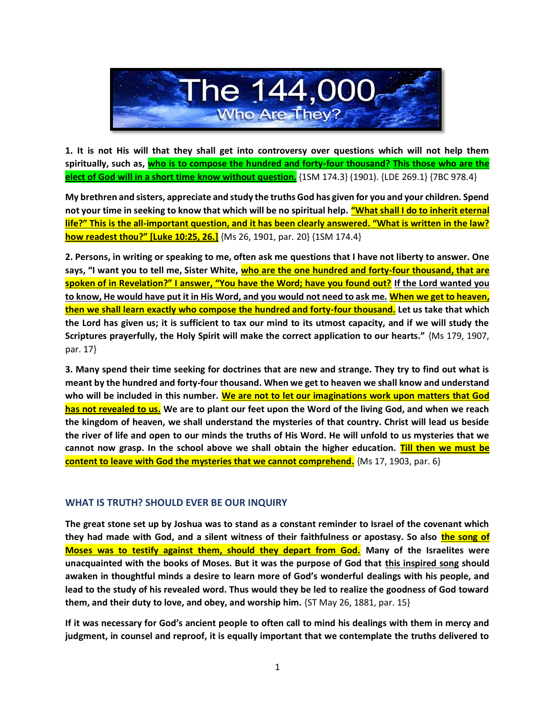

**1. It is not His will that they shall get into controversy over questions which will not help them spiritually, such as, who is to compose the hundred and forty-four thousand? This those who are the elect of God will in a short time know without question.** {1SM 174.3} (1901). {LDE 269.1} {7BC 978.4}

**My brethren and sisters, appreciate and study the truths God has given for you and your children. Spend not your time in seeking to know that which will be no spiritual help. "What shall I do to inherit eternal life?" This is the all-important question, and it has been clearly answered. "What is written in the law? how readest thou?" [Luke 10:25, 26.]** {Ms 26, 1901, par. 20} {1SM 174.4}

**2. Persons, in writing or speaking to me, often ask me questions that I have not liberty to answer. One says, "I want you to tell me, Sister White, who are the one hundred and forty-four thousand, that are spoken of in Revelation?" I answer, "You have the Word; have you found out? If the Lord wanted you to know, He would have put it in His Word, and you would not need to ask me. When we get to heaven, then we shall learn exactly who compose the hundred and forty-four thousand. Let us take that which the Lord has given us; it is sufficient to tax our mind to its utmost capacity, and if we will study the Scriptures prayerfully, the Holy Spirit will make the correct application to our hearts."** {Ms 179, 1907, par. 17}

**3. Many spend their time seeking for doctrines that are new and strange. They try to find out what is meant by the hundred and forty-four thousand. When we get to heaven we shall know and understand who will be included in this number. We are not to let our imaginations work upon matters that God has not revealed to us. We are to plant our feet upon the Word of the living God, and when we reach the kingdom of heaven, we shall understand the mysteries of that country. Christ will lead us beside the river of life and open to our minds the truths of His Word. He will unfold to us mysteries that we cannot now grasp. In the school above we shall obtain the higher education. Till then we must be content to leave with God the mysteries that we cannot comprehend.** {Ms 17, 1903, par. 6}

# **WHAT IS TRUTH? SHOULD EVER BE OUR INQUIRY**

**The great stone set up by Joshua was to stand as a constant reminder to Israel of the covenant which they had made with God, and a silent witness of their faithfulness or apostasy. So also the song of Moses was to testify against them, should they depart from God. Many of the Israelites were unacquainted with the books of Moses. But it was the purpose of God that this inspired song should awaken in thoughtful minds a desire to learn more of God's wonderful dealings with his people, and lead to the study of his revealed word. Thus would they be led to realize the goodness of God toward them, and their duty to love, and obey, and worship him.** {ST May 26, 1881, par. 15}

**If it was necessary for God's ancient people to often call to mind his dealings with them in mercy and judgment, in counsel and reproof, it is equally important that we contemplate the truths delivered to**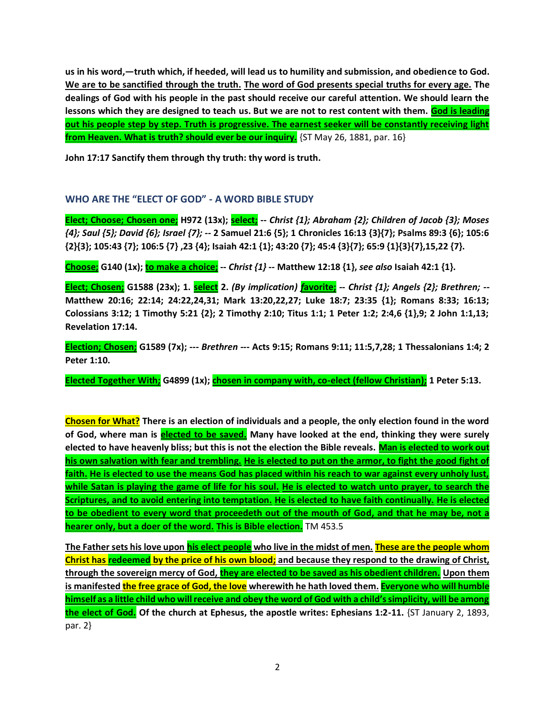**us in his word,—truth which, if heeded, will lead us to humility and submission, and obedience to God. We are to be sanctified through the truth. The word of God presents special truths for every age. The dealings of God with his people in the past should receive our careful attention. We should learn the lessons which they are designed to teach us. But we are not to rest content with them. God is leading out his people step by step. Truth is progressive. The earnest seeker will be constantly receiving light from Heaven. What is truth? should ever be our inquiry.** {ST May 26, 1881, par. 16}

**John 17:17 Sanctify them through thy truth: thy word is truth.**

# **WHO ARE THE "ELECT OF GOD" - A WORD BIBLE STUDY**

**Elect; Choose; Chosen one; H972 (13x); select; --** *Christ {1}; Abraham {2}; Children of Jacob {3}; Moses {4}; Saul {5}; David {6}; Israel {7};* **-- 2 Samuel 21:6 {5}; 1 Chronicles 16:13 {3}{7}; Psalms 89:3 {6}; 105:6 {2}{3}; 105:43 {7}; 106:5 {7} ,23 {4}; Isaiah 42:1 {1}; 43:20 {7}; 45:4 {3}{7}; 65:9 {1}{3}{7},15,22 {7}.**

**Choose; G140 (1x); to make a choice; --** *Christ {1}* **-- Matthew 12:18 {1},** *see also* **Isaiah 42:1 {1}.**

**Elect; Chosen; G1588 (23x); 1. select 2.** *(By implication) f***avorite; --** *Christ {1}; Angels {2}; Brethren;* **-- Matthew 20:16; 22:14; 24:22,24,31; Mark 13:20,22,27; Luke 18:7; 23:35 {1}; Romans 8:33; 16:13; Colossians 3:12; 1 Timothy 5:21 {2}; 2 Timothy 2:10; Titus 1:1; 1 Peter 1:2; 2:4,6 {1},9; 2 John 1:1,13; Revelation 17:14.**

**Election; Chosen; G1589 (7x); ---** *Brethren* **--- Acts 9:15; Romans 9:11; 11:5,7,28; 1 Thessalonians 1:4; 2 Peter 1:10.**

**Elected Together With; G4899 (1x); chosen in company with, co-elect (fellow Christian); 1 Peter 5:13.**

**Chosen for What? There is an election of individuals and a people, the only election found in the word of God, where man is elected to be saved. Many have looked at the end, thinking they were surely elected to have heavenly bliss; but this is not the election the Bible reveals. Man is elected to work out his own salvation with fear and trembling. He is elected to put on the armor, to fight the good fight of faith. He is elected to use the means God has placed within his reach to war against every unholy lust, while Satan is playing the game of life for his soul. He is elected to watch unto prayer, to search the Scriptures, and to avoid entering into temptation. He is elected to have faith continually. He is elected to be obedient to every word that proceedeth out of the mouth of God, and that he may be, not a hearer only, but a doer of the word. This is Bible election.** TM 453.5

**The Father sets his love upon his elect people who live in the midst of men. These are the people whom Christ has redeemed by the price of his own blood; and because they respond to the drawing of Christ, through the sovereign mercy of God, they are elected to be saved as his obedient children. Upon them is manifested the free grace of God, the love wherewith he hath loved them. Everyone who will humble himself as a little child who will receive and obey the word of God with a child's simplicity, will be among the elect of God. Of the church at Ephesus, the apostle writes: Ephesians 1:2-11.** {ST January 2, 1893, par. 2}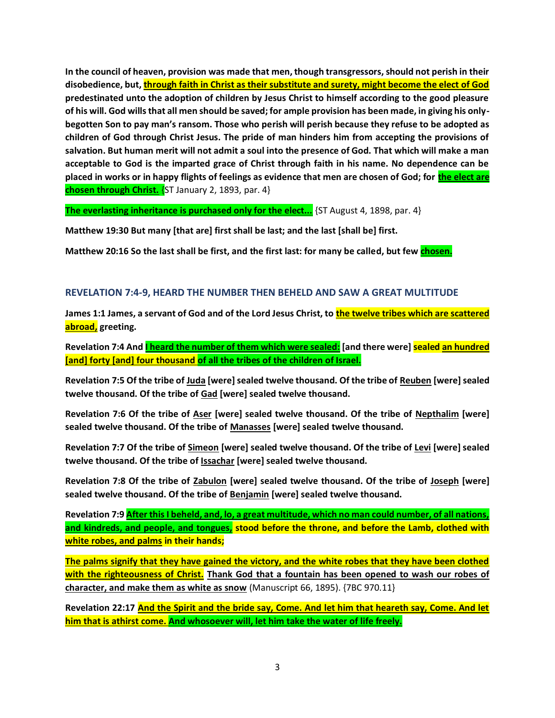**In the council of heaven, provision was made that men, though transgressors, should not perish in their disobedience, but, through faith in Christ as their substitute and surety, might become the elect of God predestinated unto the adoption of children by Jesus Christ to himself according to the good pleasure of his will. God wills that all men should be saved; for ample provision has been made, in giving his onlybegotten Son to pay man's ransom. Those who perish will perish because they refuse to be adopted as children of God through Christ Jesus. The pride of man hinders him from accepting the provisions of salvation. But human merit will not admit a soul into the presence of God. That which will make a man acceptable to God is the imparted grace of Christ through faith in his name. No dependence can be placed in works or in happy flights of feelings as evidence that men are chosen of God; for the elect are chosen through Christ.** {ST January 2, 1893, par. 4}

**The everlasting inheritance is purchased only for the elect...** {ST August 4, 1898, par. 4}

**Matthew 19:30 But many [that are] first shall be last; and the last [shall be] first.**

**Matthew 20:16 So the last shall be first, and the first last: for many be called, but few chosen.**

# **REVELATION 7:4-9, HEARD THE NUMBER THEN BEHELD AND SAW A GREAT MULTITUDE**

James 1:1 James, a servant of God and of the Lord Jesus Christ, to **the twelve tribes which are scattered abroad, greeting.**

**Revelation 7:4 And I heard the number of them which were sealed: [and there were] sealed an hundred [and] forty [and] four thousand of all the tribes of the children of Israel.**

**Revelation 7:5 Of the tribe of Juda [were] sealed twelve thousand. Of the tribe of Reuben [were] sealed twelve thousand. Of the tribe of Gad [were] sealed twelve thousand.**

**Revelation 7:6 Of the tribe of Aser [were] sealed twelve thousand. Of the tribe of Nepthalim [were] sealed twelve thousand. Of the tribe of Manasses [were] sealed twelve thousand.**

**Revelation 7:7 Of the tribe of Simeon [were] sealed twelve thousand. Of the tribe of Levi [were] sealed twelve thousand. Of the tribe of Issachar [were] sealed twelve thousand.**

**Revelation 7:8 Of the tribe of Zabulon [were] sealed twelve thousand. Of the tribe of Joseph [were] sealed twelve thousand. Of the tribe of Benjamin [were] sealed twelve thousand.**

**Revelation 7:9 After this I beheld, and, lo, a great multitude, which no man could number, of all nations, and kindreds, and people, and tongues, stood before the throne, and before the Lamb, clothed with white robes, and palms in their hands;**

**The palms signify that they have gained the victory, and the white robes that they have been clothed with the righteousness of Christ. Thank God that a fountain has been opened to wash our robes of character, and make them as white as snow** (Manuscript 66, 1895). {7BC 970.11}

**Revelation 22:17 And the Spirit and the bride say, Come. And let him that heareth say, Come. And let him that is athirst come. And whosoever will, let him take the water of life freely.**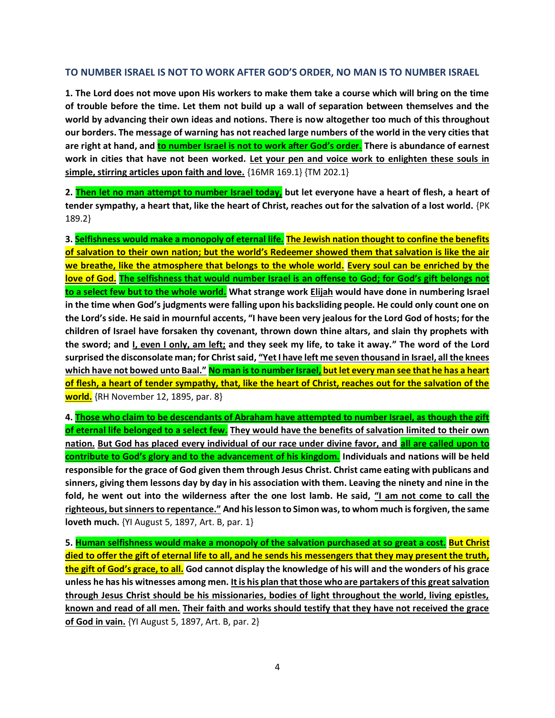### **TO NUMBER ISRAEL IS NOT TO WORK AFTER GOD'S ORDER, NO MAN IS TO NUMBER ISRAEL**

**1. The Lord does not move upon His workers to make them take a course which will bring on the time of trouble before the time. Let them not build up a wall of separation between themselves and the world by advancing their own ideas and notions. There is now altogether too much of this throughout our borders. The message of warning has not reached large numbers of the world in the very cities that are right at hand, and to number Israel is not to work after God's order. There is abundance of earnest work in cities that have not been worked. Let your pen and voice work to enlighten these souls in simple, stirring articles upon faith and love.** {16MR 169.1} {TM 202.1}

**2. Then let no man attempt to number Israel today, but let everyone have a heart of flesh, a heart of tender sympathy, a heart that, like the heart of Christ, reaches out for the salvation of a lost world.** {PK 189.2}

**3. Selfishness would make a monopoly of eternal life. The Jewish nation thought to confine the benefits of salvation to their own nation; but the world's Redeemer showed them that salvation is like the air we breathe, like the atmosphere that belongs to the whole world. Every soul can be enriched by the love of God. The selfishness that would number Israel is an offense to God; for God's gift belongs not to a select few but to the whole world. What strange work Elijah would have done in numbering Israel in the time when God's judgments were falling upon his backsliding people. He could only count one on the Lord's side. He said in mournful accents, "I have been very jealous for the Lord God of hosts; for the children of Israel have forsaken thy covenant, thrown down thine altars, and slain thy prophets with the sword; and I, even I only, am left; and they seek my life, to take it away." The word of the Lord surprised the disconsolate man; for Christ said, "Yet I have left me seven thousand in Israel, all the knees which have not bowed unto Baal." No man is to number Israel, but let every man see that he has a heart of flesh, a heart of tender sympathy, that, like the heart of Christ, reaches out for the salvation of the world.** {RH November 12, 1895, par. 8}

**4. Those who claim to be descendants of Abraham have attempted to number Israel, as though the gift of eternal life belonged to a select few. They would have the benefits of salvation limited to their own nation. But God has placed every individual of our race under divine favor, and all are called upon to contribute to God's glory and to the advancement of his kingdom. Individuals and nations will be held responsible for the grace of God given them through Jesus Christ. Christ came eating with publicans and sinners, giving them lessons day by day in his association with them. Leaving the ninety and nine in the fold, he went out into the wilderness after the one lost lamb. He said, "I am not come to call the righteous, but sinners to repentance." And his lesson to Simon was, to whom much is forgiven, the same loveth much.** {YI August 5, 1897, Art. B, par. 1}

**5. Human selfishness would make a monopoly of the salvation purchased at so great a cost. But Christ died to offer the gift of eternal life to all, and he sends his messengers that they may present the truth, the gift of God's grace, to all. God cannot display the knowledge of his will and the wonders of his grace unless he has his witnesses among men. It is his plan that those who are partakers of this great salvation through Jesus Christ should be his missionaries, bodies of light throughout the world, living epistles, known and read of all men. Their faith and works should testify that they have not received the grace of God in vain.** {YI August 5, 1897, Art. B, par. 2}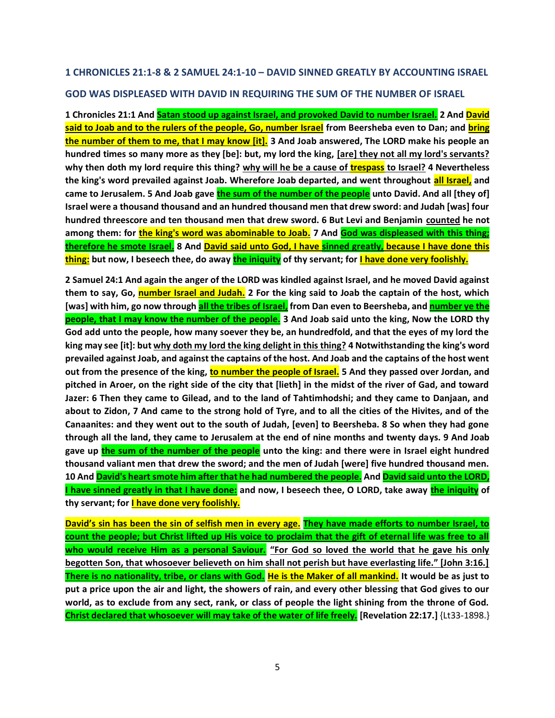### **1 CHRONICLES 21:1-8 & 2 SAMUEL 24:1-10 – DAVID SINNED GREATLY BY ACCOUNTING ISRAEL**

#### **GOD WAS DISPLEASED WITH DAVID IN REQUIRING THE SUM OF THE NUMBER OF ISRAEL**

**1 Chronicles 21:1 And Satan stood up against Israel, and provoked David to number Israel. 2 And David said to Joab and to the rulers of the people, Go, number Israel from Beersheba even to Dan; and bring the number of them to me, that I may know [it]. 3 And Joab answered, The LORD make his people an hundred times so many more as they [be]: but, my lord the king, [are] they not all my lord's servants? why then doth my lord require this thing? why will he be a cause of trespass to Israel? 4 Nevertheless the king's word prevailed against Joab. Wherefore Joab departed, and went throughout all Israel, and came to Jerusalem. 5 And Joab gave the sum of the number of the people unto David. And all [they of] Israel were a thousand thousand and an hundred thousand men that drew sword: and Judah [was] four hundred threescore and ten thousand men that drew sword. 6 But Levi and Benjamin counted he not among them: for the king's word was abominable to Joab. 7 And God was displeased with this thing; therefore he smote Israel. 8 And David said unto God, I have sinned greatly, because I have done this thing: but now, I beseech thee, do away the iniquity of thy servant; for I have done very foolishly.**

**2 Samuel 24:1 And again the anger of the LORD was kindled against Israel, and he moved David against them to say, Go, number Israel and Judah. 2 For the king said to Joab the captain of the host, which**  [was] with him, go now through all the tribes of Israel, from Dan even to Beersheba, and number ye the **people, that I may know the number of the people. 3 And Joab said unto the king, Now the LORD thy God add unto the people, how many soever they be, an hundredfold, and that the eyes of my lord the king may see [it]: but why doth my lord the king delight in this thing? 4 Notwithstanding the king's word prevailed against Joab, and against the captains of the host. And Joab and the captains of the host went out from the presence of the king, to number the people of Israel. 5 And they passed over Jordan, and pitched in Aroer, on the right side of the city that [lieth] in the midst of the river of Gad, and toward Jazer: 6 Then they came to Gilead, and to the land of Tahtimhodshi; and they came to Danjaan, and about to Zidon, 7 And came to the strong hold of Tyre, and to all the cities of the Hivites, and of the Canaanites: and they went out to the south of Judah, [even] to Beersheba. 8 So when they had gone through all the land, they came to Jerusalem at the end of nine months and twenty days. 9 And Joab gave up the sum of the number of the people unto the king: and there were in Israel eight hundred thousand valiant men that drew the sword; and the men of Judah [were] five hundred thousand men. 10 And David's heart smote him after that he had numbered the people. And David said unto the LORD, I have sinned greatly in that I have done: and now, I beseech thee, O LORD, take away the iniquity of thy servant; for I have done very foolishly.**

**David's sin has been the sin of selfish men in every age. They have made efforts to number Israel, to count the people; but Christ lifted up His voice to proclaim that the gift of eternal life was free to all who would receive Him as a personal Saviour. "For God so loved the world that he gave his only begotten Son, that whosoever believeth on him shall not perish but have everlasting life." [John 3:16.] There is no nationality, tribe, or clans with God. He is the Maker of all mankind. It would be as just to put a price upon the air and light, the showers of rain, and every other blessing that God gives to our world, as to exclude from any sect, rank, or class of people the light shining from the throne of God. Christ declared that whosoever will may take of the water of life freely. [Revelation 22:17.]** {Lt33-1898.}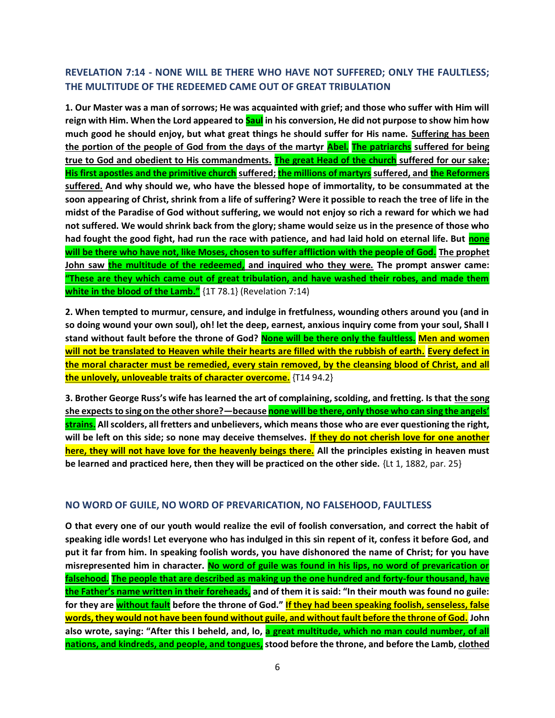# **REVELATION 7:14 - NONE WILL BE THERE WHO HAVE NOT SUFFERED; ONLY THE FAULTLESS; THE MULTITUDE OF THE REDEEMED CAME OUT OF GREAT TRIBULATION**

**1. Our Master was a man of sorrows; He was acquainted with grief; and those who suffer with Him will reign with Him. When the Lord appeared to Saul in his conversion, He did not purpose to show him how much good he should enjoy, but what great things he should suffer for His name. Suffering has been the portion of the people of God from the days of the martyr Abel. The patriarchs suffered for being true to God and obedient to His commandments. The great Head of the church suffered for our sake; His first apostles and the primitive church suffered; the millions of martyrs suffered, and the Reformers suffered. And why should we, who have the blessed hope of immortality, to be consummated at the soon appearing of Christ, shrink from a life of suffering? Were it possible to reach the tree of life in the midst of the Paradise of God without suffering, we would not enjoy so rich a reward for which we had not suffered. We would shrink back from the glory; shame would seize us in the presence of those who had fought the good fight, had run the race with patience, and had laid hold on eternal life. But none will be there who have not, like Moses, chosen to suffer affliction with the people of God. The prophet John saw the multitude of the redeemed, and inquired who they were. The prompt answer came: "These are they which came out of great tribulation, and have washed their robes, and made them white in the blood of the Lamb."** {1T 78.1} (Revelation 7:14)

**2. When tempted to murmur, censure, and indulge in fretfulness, wounding others around you (and in so doing wound your own soul), oh! let the deep, earnest, anxious inquiry come from your soul, Shall I stand without fault before the throne of God? None will be there only the faultless. Men and women will not be translated to Heaven while their hearts are filled with the rubbish of earth. Every defect in the moral character must be remedied, every stain removed, by the cleansing blood of Christ, and all the unlovely, unloveable traits of character overcome.** {T14 94.2}

**3. Brother George Russ's wife has learned the art of complaining, scolding, and fretting. Is that the song she expects to sing on the other shore?—because none will be there, only those who can sing the angels' strains. All scolders, all fretters and unbelievers, which means those who are ever questioning the right, will be left on this side; so none may deceive themselves. If they do not cherish love for one another here, they will not have love for the heavenly beings there. All the principles existing in heaven must be learned and practiced here, then they will be practiced on the other side.** {Lt 1, 1882, par. 25}

# **NO WORD OF GUILE, NO WORD OF PREVARICATION, NO FALSEHOOD, FAULTLESS**

**O that every one of our youth would realize the evil of foolish conversation, and correct the habit of speaking idle words! Let everyone who has indulged in this sin repent of it, confess it before God, and put it far from him. In speaking foolish words, you have dishonored the name of Christ; for you have misrepresented him in character. No word of guile was found in his lips, no word of prevarication or falsehood. The people that are described as making up the one hundred and forty-four thousand, have the Father's name written in their foreheads, and of them it is said: "In their mouth was found no guile: for they are without fault before the throne of God." If they had been speaking foolish, senseless, false words, they would not have been found without guile, and without fault before the throne of God. John also wrote, saying: "After this I beheld, and, lo, a great multitude, which no man could number, of all nations, and kindreds, and people, and tongues, stood before the throne, and before the Lamb, clothed**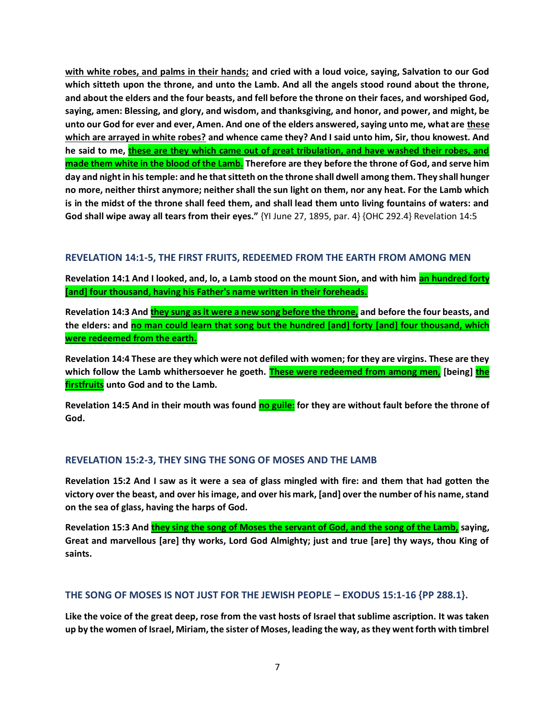**with white robes, and palms in their hands; and cried with a loud voice, saying, Salvation to our God which sitteth upon the throne, and unto the Lamb. And all the angels stood round about the throne, and about the elders and the four beasts, and fell before the throne on their faces, and worshiped God, saying, amen: Blessing, and glory, and wisdom, and thanksgiving, and honor, and power, and might, be unto our God for ever and ever, Amen. And one of the elders answered, saying unto me, what are these which are arrayed in white robes? and whence came they? And I said unto him, Sir, thou knowest. And he said to me, these are they which came out of great tribulation, and have washed their robes, and made them white in the blood of the Lamb. Therefore are they before the throne of God, and serve him day and night in his temple: and he that sitteth on the throne shall dwell among them. They shall hunger no more, neither thirst anymore; neither shall the sun light on them, nor any heat. For the Lamb which is in the midst of the throne shall feed them, and shall lead them unto living fountains of waters: and God shall wipe away all tears from their eyes."** {YI June 27, 1895, par. 4} {OHC 292.4} Revelation 14:5

# **REVELATION 14:1-5, THE FIRST FRUITS, REDEEMED FROM THE EARTH FROM AMONG MEN**

**Revelation 14:1 And I looked, and, lo, a Lamb stood on the mount Sion, and with him an hundred forty [and] four thousand, having his Father's name written in their foreheads.**

**Revelation 14:3 And they sung as it were a new song before the throne, and before the four beasts, and the elders: and no man could learn that song but the hundred [and] forty [and] four thousand, which were redeemed from the earth.**

**Revelation 14:4 These are they which were not defiled with women; for they are virgins. These are they which follow the Lamb whithersoever he goeth. These were redeemed from among men, [being] the firstfruits unto God and to the Lamb.**

Revelation 14:5 And in their mouth was found no guile: for they are without fault before the throne of **God.**

# **REVELATION 15:2-3, THEY SING THE SONG OF MOSES AND THE LAMB**

**Revelation 15:2 And I saw as it were a sea of glass mingled with fire: and them that had gotten the victory over the beast, and over his image, and over his mark, [and] over the number of his name, stand on the sea of glass, having the harps of God.** 

**Revelation 15:3 And they sing the song of Moses the servant of God, and the song of the Lamb, saying, Great and marvellous [are] thy works, Lord God Almighty; just and true [are] thy ways, thou King of saints.**

# **THE SONG OF MOSES IS NOT JUST FOR THE JEWISH PEOPLE – EXODUS 15:1-16 {PP 288.1}.**

**Like the voice of the great deep, rose from the vast hosts of Israel that sublime ascription. It was taken up by the women of Israel, Miriam, the sister of Moses, leading the way, as they went forth with timbrel**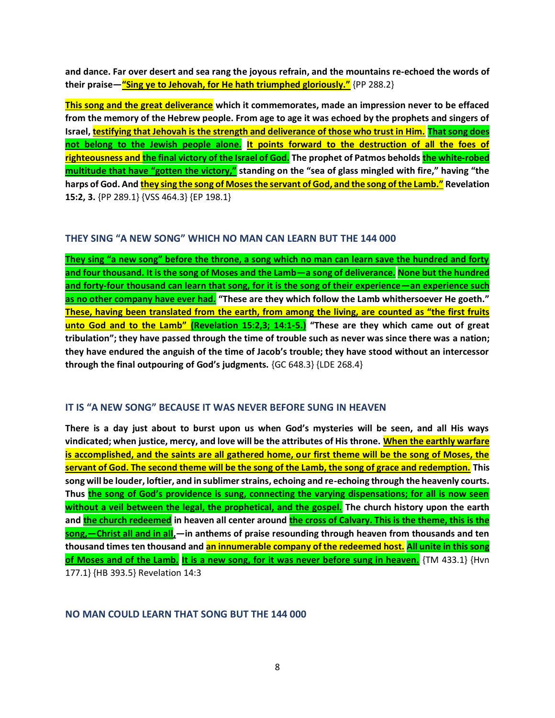**and dance. Far over desert and sea rang the joyous refrain, and the mountains re-echoed the words of their praise—"Sing ye to Jehovah, for He hath triumphed gloriously."** {PP 288.2}

**This song and the great deliverance which it commemorates, made an impression never to be effaced from the memory of the Hebrew people. From age to age it was echoed by the prophets and singers of Israel, testifying that Jehovah is the strength and deliverance of those who trust in Him. That song does not belong to the Jewish people alone. It points forward to the destruction of all the foes of righteousness and the final victory of the Israel of God. The prophet of Patmos beholds the white-robed multitude that have "gotten the victory," standing on the "sea of glass mingled with fire," having "the harps of God. And they sing the song of Moses the servant of God, and the song of the Lamb." Revelation 15:2, 3.** {PP 289.1} {VSS 464.3} {EP 198.1}

# **THEY SING "A NEW SONG" WHICH NO MAN CAN LEARN BUT THE 144 000**

**They sing "a new song" before the throne, a song which no man can learn save the hundred and forty and four thousand. It is the song of Moses and the Lamb—a song of deliverance. None but the hundred and forty-four thousand can learn that song, for it is the song of their experience—an experience such as no other company have ever had. "These are they which follow the Lamb whithersoever He goeth." These, having been translated from the earth, from among the living, are counted as "the first fruits unto God and to the Lamb" (Revelation 15:2,3; 14:1-5.) "These are they which came out of great tribulation"; they have passed through the time of trouble such as never was since there was a nation; they have endured the anguish of the time of Jacob's trouble; they have stood without an intercessor through the final outpouring of God's judgments.** {GC 648.3} {LDE 268.4}

#### **IT IS "A NEW SONG" BECAUSE IT WAS NEVER BEFORE SUNG IN HEAVEN**

**There is a day just about to burst upon us when God's mysteries will be seen, and all His ways vindicated; when justice, mercy, and love will be the attributes of His throne. When the earthly warfare is accomplished, and the saints are all gathered home, our first theme will be the song of Moses, the servant of God. The second theme will be the song of the Lamb, the song of grace and redemption. This song will be louder, loftier, and in sublimer strains, echoing and re-echoing through the heavenly courts. Thus the song of God's providence is sung, connecting the varying dispensations; for all is now seen without a veil between the legal, the prophetical, and the gospel. The church history upon the earth**  and **the church redeemed** in heaven all center around the cross of Calvary. This is the theme, this is the **song,—Christ all and in all,—in anthems of praise resounding through heaven from thousands and ten thousand times ten thousand and an innumerable company of the redeemed host. All unite in this song of Moses and of the Lamb. It is a new song, for it was never before sung in heaven.** {TM 433.1} {Hvn 177.1} {HB 393.5} Revelation 14:3

#### **NO MAN COULD LEARN THAT SONG BUT THE 144 000**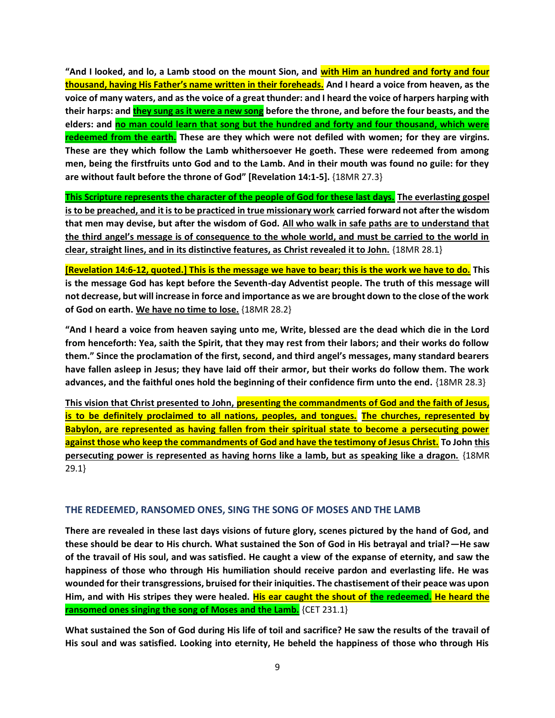**"And I looked, and lo, a Lamb stood on the mount Sion, and with Him an hundred and forty and four thousand, having His Father's name written in their foreheads. And I heard a voice from heaven, as the voice of many waters, and as the voice of a great thunder: and I heard the voice of harpers harping with their harps: and they sung as it were a new song before the throne, and before the four beasts, and the**  elders: and no man could learn that song but the hundred and forty and four thousand, which were **redeemed from the earth. These are they which were not defiled with women; for they are virgins. These are they which follow the Lamb whithersoever He goeth. These were redeemed from among men, being the firstfruits unto God and to the Lamb. And in their mouth was found no guile: for they are without fault before the throne of God" [Revelation 14:1-5].** {18MR 27.3}

**This Scripture represents the character of the people of God for these last days. The everlasting gospel is to be preached, and it is to be practiced in true missionary work carried forward not after the wisdom that men may devise, but after the wisdom of God. All who walk in safe paths are to understand that the third angel's message is of consequence to the whole world, and must be carried to the world in clear, straight lines, and in its distinctive features, as Christ revealed it to John.** {18MR 28.1}

**[Revelation 14:6-12, quoted.] This is the message we have to bear; this is the work we have to do. This is the message God has kept before the Seventh-day Adventist people. The truth of this message will not decrease, but will increase in force and importance as we are brought down to the close of the work of God on earth. We have no time to lose.** {18MR 28.2}

**"And I heard a voice from heaven saying unto me, Write, blessed are the dead which die in the Lord from henceforth: Yea, saith the Spirit, that they may rest from their labors; and their works do follow them." Since the proclamation of the first, second, and third angel's messages, many standard bearers have fallen asleep in Jesus; they have laid off their armor, but their works do follow them. The work advances, and the faithful ones hold the beginning of their confidence firm unto the end.** {18MR 28.3}

**This vision that Christ presented to John, presenting the commandments of God and the faith of Jesus, is to be definitely proclaimed to all nations, peoples, and tongues. The churches, represented by Babylon, are represented as having fallen from their spiritual state to become a persecuting power against those who keep the commandments of God and have the testimony of Jesus Christ. To John this persecuting power is represented as having horns like a lamb, but as speaking like a dragon.** {18MR 29.1}

# **THE REDEEMED, RANSOMED ONES, SING THE SONG OF MOSES AND THE LAMB**

**There are revealed in these last days visions of future glory, scenes pictured by the hand of God, and these should be dear to His church. What sustained the Son of God in His betrayal and trial?—He saw of the travail of His soul, and was satisfied. He caught a view of the expanse of eternity, and saw the happiness of those who through His humiliation should receive pardon and everlasting life. He was wounded for their transgressions, bruised for their iniquities. The chastisement of their peace was upon Him, and with His stripes they were healed. His ear caught the shout of the redeemed. He heard the ransomed ones singing the song of Moses and the Lamb.** {CET 231.1}

**What sustained the Son of God during His life of toil and sacrifice? He saw the results of the travail of His soul and was satisfied. Looking into eternity, He beheld the happiness of those who through His**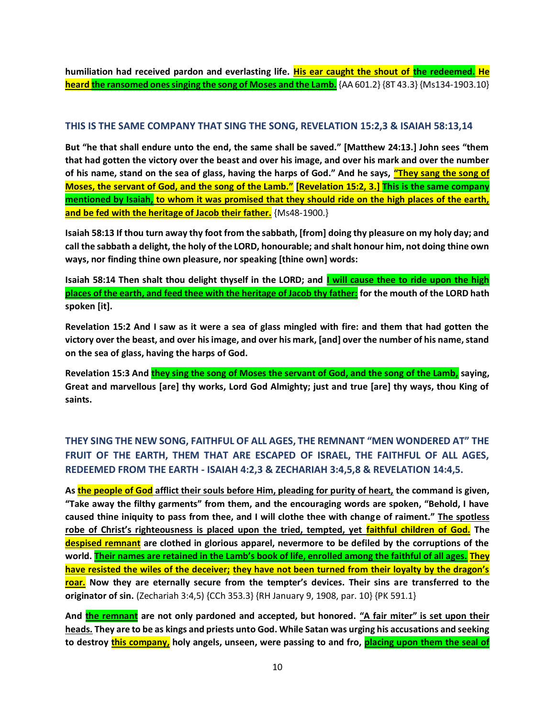**humiliation had received pardon and everlasting life. His ear caught the shout of the redeemed. He heard the ransomed ones singing the song of Moses and the Lamb.** {AA 601.2} {8T 43.3} {Ms134-1903.10}

# **THIS IS THE SAME COMPANY THAT SING THE SONG, REVELATION 15:2,3 & ISAIAH 58:13,14**

**But "he that shall endure unto the end, the same shall be saved." [Matthew 24:13.] John sees "them that had gotten the victory over the beast and over his image, and over his mark and over the number of his name, stand on the sea of glass, having the harps of God." And he says, "They sang the song of Moses, the servant of God, and the song of the Lamb." [Revelation 15:2, 3.] This is the same company mentioned by Isaiah, to whom it was promised that they should ride on the high places of the earth, and be fed with the heritage of Jacob their father.** {Ms48-1900.}

**Isaiah 58:13 If thou turn away thy foot from the sabbath, [from] doing thy pleasure on my holy day; and call the sabbath a delight, the holy of the LORD, honourable; and shalt honour him, not doing thine own ways, nor finding thine own pleasure, nor speaking [thine own] words:**

**Isaiah 58:14 Then shalt thou delight thyself in the LORD; and I will cause thee to ride upon the high places of the earth, and feed thee with the heritage of Jacob thy father: for the mouth of the LORD hath spoken [it].**

**Revelation 15:2 And I saw as it were a sea of glass mingled with fire: and them that had gotten the victory over the beast, and over his image, and over his mark, [and] over the number of his name, stand on the sea of glass, having the harps of God.**

**Revelation 15:3 And they sing the song of Moses the servant of God, and the song of the Lamb, saying, Great and marvellous [are] thy works, Lord God Almighty; just and true [are] thy ways, thou King of saints.**

# **THEY SING THE NEW SONG, FAITHFUL OF ALL AGES, THE REMNANT "MEN WONDERED AT" THE FRUIT OF THE EARTH, THEM THAT ARE ESCAPED OF ISRAEL, THE FAITHFUL OF ALL AGES, REDEEMED FROM THE EARTH - ISAIAH 4:2,3 & ZECHARIAH 3:4,5,8 & REVELATION 14:4,5.**

**As the people of God afflict their souls before Him, pleading for purity of heart, the command is given, "Take away the filthy garments" from them, and the encouraging words are spoken, "Behold, I have caused thine iniquity to pass from thee, and I will clothe thee with change of raiment." The spotless robe of Christ's righteousness is placed upon the tried, tempted, yet faithful children of God. The despised remnant are clothed in glorious apparel, nevermore to be defiled by the corruptions of the world. Their names are retained in the Lamb's book of life, enrolled among the faithful of all ages. They have resisted the wiles of the deceiver; they have not been turned from their loyalty by the dragon's roar. Now they are eternally secure from the tempter's devices. Their sins are transferred to the originator of sin.** (Zechariah 3:4,5) {CCh 353.3} {RH January 9, 1908, par. 10} {PK 591.1}

**And the remnant are not only pardoned and accepted, but honored. "A fair miter" is set upon their heads. They are to be as kings and priests unto God. While Satan was urging his accusations and seeking to destroy this company, holy angels, unseen, were passing to and fro, placing upon them the seal of**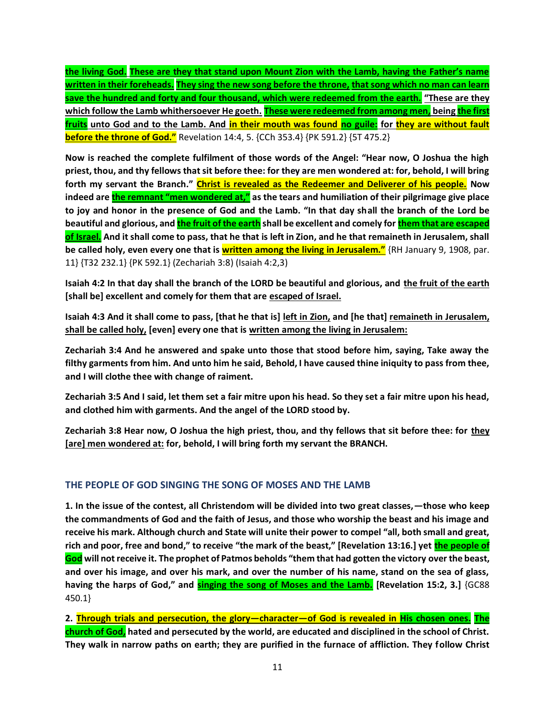**the living God. These are they that stand upon Mount Zion with the Lamb, having the Father's name written in their foreheads. They sing the new song before the throne, that song which no man can learn save the hundred and forty and four thousand, which were redeemed from the earth. "These are they which follow the Lamb whithersoever He goeth. These were redeemed from among men, being the first fruits unto God and to the Lamb. And in their mouth was found no guile: for they are without fault before the throne of God."** Revelation 14:4, 5. {CCh 353.4} {PK 591.2} {5T 475.2}

**Now is reached the complete fulfilment of those words of the Angel: "Hear now, O Joshua the high priest, thou, and thy fellows that sit before thee: for they are men wondered at: for, behold, I will bring forth my servant the Branch." Christ is revealed as the Redeemer and Deliverer of his people. Now indeed are the remnant "men wondered at," as the tears and humiliation of their pilgrimage give place to joy and honor in the presence of God and the Lamb. "In that day shall the branch of the Lord be beautiful and glorious, and the fruit of the earth shall be excellent and comely for them that are escaped of Israel. And it shall come to pass, that he that is left in Zion, and he that remaineth in Jerusalem, shall be called holy, even every one that is written among the living in Jerusalem."** {RH January 9, 1908, par. 11} {T32 232.1} {PK 592.1} (Zechariah 3:8) (Isaiah 4:2,3)

**Isaiah 4:2 In that day shall the branch of the LORD be beautiful and glorious, and the fruit of the earth [shall be] excellent and comely for them that are escaped of Israel.**

**Isaiah 4:3 And it shall come to pass, [that he that is] left in Zion, and [he that] remaineth in Jerusalem, shall be called holy, [even] every one that is written among the living in Jerusalem:**

**Zechariah 3:4 And he answered and spake unto those that stood before him, saying, Take away the filthy garments from him. And unto him he said, Behold, I have caused thine iniquity to pass from thee, and I will clothe thee with change of raiment.**

**Zechariah 3:5 And I said, let them set a fair mitre upon his head. So they set a fair mitre upon his head, and clothed him with garments. And the angel of the LORD stood by.**

**Zechariah 3:8 Hear now, O Joshua the high priest, thou, and thy fellows that sit before thee: for they [are] men wondered at: for, behold, I will bring forth my servant the BRANCH.**

# **THE PEOPLE OF GOD SINGING THE SONG OF MOSES AND THE LAMB**

**1. In the issue of the contest, all Christendom will be divided into two great classes,—those who keep the commandments of God and the faith of Jesus, and those who worship the beast and his image and receive his mark. Although church and State will unite their power to compel "all, both small and great, rich and poor, free and bond," to receive "the mark of the beast," [Revelation 13:16.] yet the people of God will not receive it. The prophet of Patmos beholds "them that had gotten the victory over the beast, and over his image, and over his mark, and over the number of his name, stand on the sea of glass, having the harps of God," and singing the song of Moses and the Lamb. [Revelation 15:2, 3.]** {GC88 450.1}

**2. Through trials and persecution, the glory—character—of God is revealed in His chosen ones. The church of God, hated and persecuted by the world, are educated and disciplined in the school of Christ. They walk in narrow paths on earth; they are purified in the furnace of affliction. They follow Christ**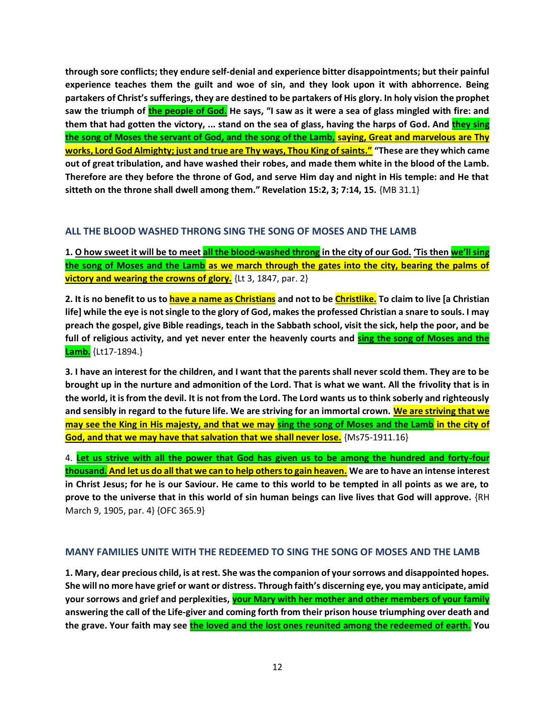**through sore conflicts; they endure self-denial and experience bitter disappointments; but their painful experience teaches them the guilt and woe of sin, and they look upon it with abhorrence. Being partakers of Christ's sufferings, they are destined to be partakers of His glory. In holy vision the prophet saw the triumph of the people of God. He says, "I saw as it were a sea of glass mingled with fire: and them that had gotten the victory, ... stand on the sea of glass, having the harps of God. And they sing the song of Moses the servant of God, and the song of the Lamb, saying, Great and marvelous are Thy works, Lord God Almighty; just and true are Thy ways, Thou King of saints." "These are they which came out of great tribulation, and have washed their robes, and made them white in the blood of the Lamb. Therefore are they before the throne of God, and serve Him day and night in His temple: and He that sitteth on the throne shall dwell among them." Revelation 15:2, 3; 7:14, 15.** {MB 31.1}

# **ALL THE BLOOD WASHED THRONG SING THE SONG OF MOSES AND THE LAMB**

**1. O how sweet it will be to meet all the blood-washed throng in the city of our God. 'Tis then we'll sing the song of Moses and the Lamb as we march through the gates into the city, bearing the palms of victory and wearing the crowns of glory.** {Lt 3, 1847, par. 2}

**2. It is no benefit to us to have a name as Christians and not to be Christlike. To claim to live [a Christian life] while the eye is not single to the glory of God, makes the professed Christian a snare to souls. I may preach the gospel, give Bible readings, teach in the Sabbath school, visit the sick, help the poor, and be full of religious activity, and yet never enter the heavenly courts and sing the song of Moses and the Lamb.** {Lt17-1894.}

**3. I have an interest for the children, and I want that the parents shall never scold them. They are to be brought up in the nurture and admonition of the Lord. That is what we want. All the frivolity that is in the world, it is from the devil. It is not from the Lord. The Lord wants us to think soberly and righteously and sensibly in regard to the future life. We are striving for an immortal crown. We are striving that we may see the King in His majesty, and that we may sing the song of Moses and the Lamb in the city of God, and that we may have that salvation that we shall never lose.** {Ms75-1911.16}

4. **Let us strive with all the power that God has given us to be among the hundred and forty-four thousand. And let us do all that we can to help others to gain heaven. We are to have an intense interest in Christ Jesus; for he is our Saviour. He came to this world to be tempted in all points as we are, to prove to the universe that in this world of sin human beings can live lives that God will approve.** {RH March 9, 1905, par. 4} {OFC 365.9}

# **MANY FAMILIES UNITE WITH THE REDEEMED TO SING THE SONG OF MOSES AND THE LAMB**

**1. Mary, dear precious child, is at rest. She was the companion of your sorrows and disappointed hopes. She will no more have grief or want or distress. Through faith's discerning eye, you may anticipate, amid your sorrows and grief and perplexities, your Mary with her mother and other members of your family answering the call of the Life-giver and coming forth from their prison house triumphing over death and the grave. Your faith may see the loved and the lost ones reunited among the redeemed of earth. You**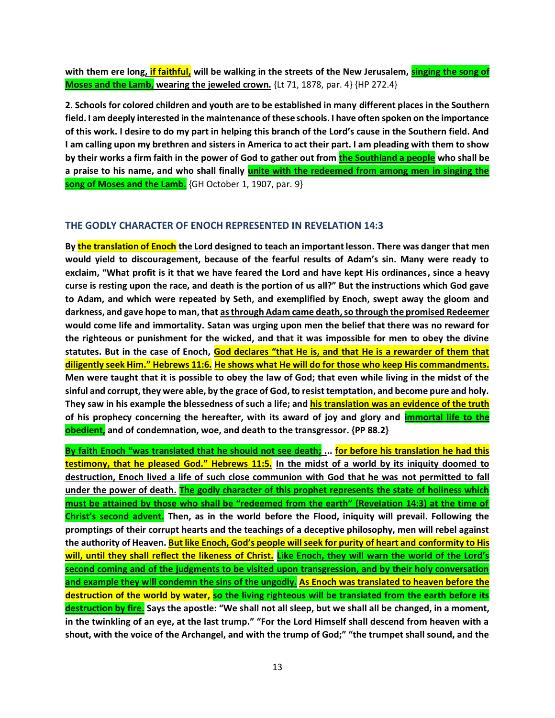**with them ere long, if faithful, will be walking in the streets of the New Jerusalem, singing the song of Moses and the Lamb, wearing the jeweled crown.** {Lt 71, 1878, par. 4} {HP 272.4}

**2. Schools for colored children and youth are to be established in many different places in the Southern field. I am deeply interested in the maintenance of these schools. I have often spoken on the importance of this work. I desire to do my part in helping this branch of the Lord's cause in the Southern field. And I am calling upon my brethren and sisters in America to act their part. I am pleading with them to show by their works a firm faith in the power of God to gather out from the Southland a people who shall be**  a praise to his name, and who shall finally **unite with the redeemed from among men in singing the song of Moses and the Lamb.** {GH October 1, 1907, par. 9}

# **THE GODLY CHARACTER OF ENOCH REPRESENTED IN REVELATION 14:3**

**By the translation of Enoch the Lord designed to teach an important lesson. There was danger that men would yield to discouragement, because of the fearful results of Adam's sin. Many were ready to exclaim, "What profit is it that we have feared the Lord and have kept His ordinances, since a heavy curse is resting upon the race, and death is the portion of us all?" But the instructions which God gave to Adam, and which were repeated by Seth, and exemplified by Enoch, swept away the gloom and darkness, and gave hope to man, that as through Adam came death, so through the promised Redeemer would come life and immortality. Satan was urging upon men the belief that there was no reward for the righteous or punishment for the wicked, and that it was impossible for men to obey the divine statutes. But in the case of Enoch, God declares "that He is, and that He is a rewarder of them that diligently seek Him." Hebrews 11:6. He shows what He will do for those who keep His commandments. Men were taught that it is possible to obey the law of God; that even while living in the midst of the sinful and corrupt, they were able, by the grace of God, to resist temptation, and become pure and holy. They saw in his example the blessedness of such a life; and his translation was an evidence of the truth of his prophecy concerning the hereafter, with its award of joy and glory and immortal life to the obedient, and of condemnation, woe, and death to the transgressor. {PP 88.2}**

**By faith Enoch "was translated that he should not see death; ... for before his translation he had this testimony, that he pleased God." Hebrews 11:5. In the midst of a world by its iniquity doomed to destruction, Enoch lived a life of such close communion with God that he was not permitted to fall under the power of death. The godly character of this prophet represents the state of holiness which must be attained by those who shall be "redeemed from the earth" (Revelation 14:3) at the time of Christ's second advent. Then, as in the world before the Flood, iniquity will prevail. Following the promptings of their corrupt hearts and the teachings of a deceptive philosophy, men will rebel against the authority of Heaven. But like Enoch, God's people will seek for purity of heart and conformity to His will, until they shall reflect the likeness of Christ. Like Enoch, they will warn the world of the Lord's second coming and of the judgments to be visited upon transgression, and by their holy conversation and example they will condemn the sins of the ungodly. As Enoch was translated to heaven before the destruction of the world by water, so the living righteous will be translated from the earth before its destruction by fire. Says the apostle: "We shall not all sleep, but we shall all be changed, in a moment, in the twinkling of an eye, at the last trump." "For the Lord Himself shall descend from heaven with a shout, with the voice of the Archangel, and with the trump of God;" "the trumpet shall sound, and the**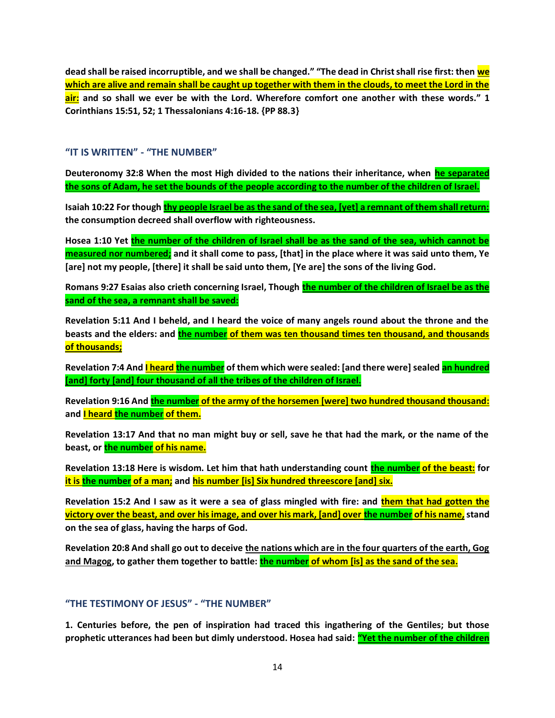**dead shall be raised incorruptible, and we shall be changed." "The dead in Christ shall rise first: then we which are alive and remain shall be caught up together with them in the clouds, to meet the Lord in the air: and so shall we ever be with the Lord. Wherefore comfort one another with these words." 1 Corinthians 15:51, 52; 1 Thessalonians 4:16-18. {PP 88.3}**

### **"IT IS WRITTEN" - "THE NUMBER"**

Deuteronomy 32:8 When the most High divided to the nations their inheritance, when he separated **the sons of Adam, he set the bounds of the people according to the number of the children of Israel.**

**Isaiah 10:22 For though thy people Israel be as the sand of the sea, [yet] a remnant of them shall return: the consumption decreed shall overflow with righteousness.**

**Hosea 1:10 Yet the number of the children of Israel shall be as the sand of the sea, which cannot be measured nor numbered; and it shall come to pass, [that] in the place where it was said unto them, Ye [are] not my people, [there] it shall be said unto them, [Ye are] the sons of the living God.**

**Romans 9:27 Esaias also crieth concerning Israel, Though the number of the children of Israel be as the sand of the sea, a remnant shall be saved:**

**Revelation 5:11 And I beheld, and I heard the voice of many angels round about the throne and the beasts and the elders: and the number of them was ten thousand times ten thousand, and thousands of thousands;**

**Revelation 7:4 And I heard the number of them which were sealed: [and there were] sealed an hundred [and] forty [and] four thousand of all the tribes of the children of Israel.**

**Revelation 9:16 And the number of the army of the horsemen [were] two hundred thousand thousand: and I heard the number of them.**

**Revelation 13:17 And that no man might buy or sell, save he that had the mark, or the name of the beast, or the number of his name.**

**Revelation 13:18 Here is wisdom. Let him that hath understanding count the number of the beast: for it is the number of a man; and his number [is] Six hundred threescore [and] six.**

**Revelation 15:2 And I saw as it were a sea of glass mingled with fire: and them that had gotten the victory over the beast, and over his image, and over his mark, [and] over the number of his name, stand on the sea of glass, having the harps of God.**

**Revelation 20:8 And shall go out to deceive the nations which are in the four quarters of the earth, Gog and Magog, to gather them together to battle: the number of whom [is] as the sand of the sea.**

# **"THE TESTIMONY OF JESUS" - "THE NUMBER"**

**1. Centuries before, the pen of inspiration had traced this ingathering of the Gentiles; but those prophetic utterances had been but dimly understood. Hosea had said: "Yet the number of the children**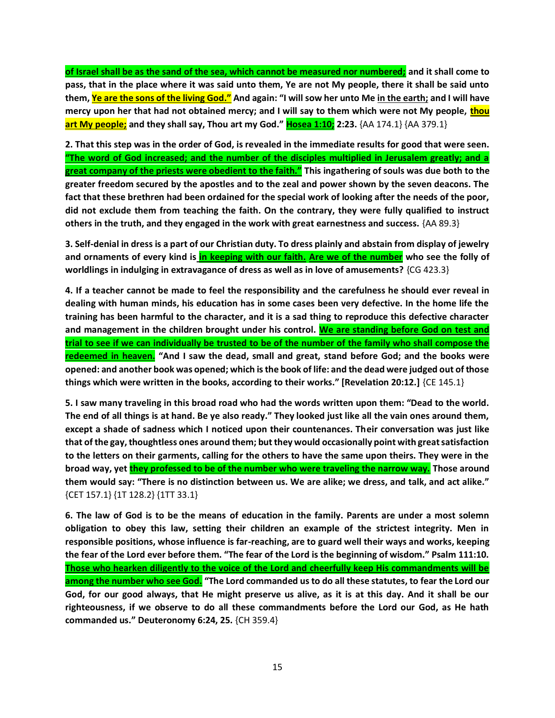**of Israel shall be as the sand of the sea, which cannot be measured nor numbered; and it shall come to pass, that in the place where it was said unto them, Ye are not My people, there it shall be said unto them, Ye are the sons of the living God." And again: "I will sow her unto Me in the earth; and I will have mercy upon her that had not obtained mercy; and I will say to them which were not My people, thou art My people; and they shall say, Thou art my God." Hosea 1:10; 2:23.** {AA 174.1} {AA 379.1}

**2. That this step was in the order of God, is revealed in the immediate results for good that were seen. "The word of God increased; and the number of the disciples multiplied in Jerusalem greatly; and a great company of the priests were obedient to the faith." This ingathering of souls was due both to the greater freedom secured by the apostles and to the zeal and power shown by the seven deacons. The fact that these brethren had been ordained for the special work of looking after the needs of the poor, did not exclude them from teaching the faith. On the contrary, they were fully qualified to instruct others in the truth, and they engaged in the work with great earnestness and success.** {AA 89.3}

**3. Self-denial in dress is a part of our Christian duty. To dress plainly and abstain from display of jewelry and ornaments of every kind is in keeping with our faith. Are we of the number who see the folly of worldlings in indulging in extravagance of dress as well as in love of amusements?** {CG 423.3}

**4. If a teacher cannot be made to feel the responsibility and the carefulness he should ever reveal in dealing with human minds, his education has in some cases been very defective. In the home life the training has been harmful to the character, and it is a sad thing to reproduce this defective character and management in the children brought under his control. We are standing before God on test and trial to see if we can individually be trusted to be of the number of the family who shall compose the redeemed in heaven. "And I saw the dead, small and great, stand before God; and the books were opened: and another book was opened; which is the book of life: and the dead were judged out of those things which were written in the books, according to their works." [Revelation 20:12.]** {CE 145.1}

**5. I saw many traveling in this broad road who had the words written upon them: "Dead to the world. The end of all things is at hand. Be ye also ready." They looked just like all the vain ones around them, except a shade of sadness which I noticed upon their countenances. Their conversation was just like that of the gay, thoughtless ones around them; but they would occasionally point with great satisfaction to the letters on their garments, calling for the others to have the same upon theirs. They were in the broad way, yet they professed to be of the number who were traveling the narrow way. Those around them would say: "There is no distinction between us. We are alike; we dress, and talk, and act alike."** {CET 157.1} {1T 128.2} {1TT 33.1}

**6. The law of God is to be the means of education in the family. Parents are under a most solemn obligation to obey this law, setting their children an example of the strictest integrity. Men in responsible positions, whose influence is far-reaching, are to guard well their ways and works, keeping the fear of the Lord ever before them. "The fear of the Lord is the beginning of wisdom." Psalm 111:10. Those who hearken diligently to the voice of the Lord and cheerfully keep His commandments will be among the number who see God. "The Lord commanded us to do all these statutes, to fear the Lord our God, for our good always, that He might preserve us alive, as it is at this day. And it shall be our righteousness, if we observe to do all these commandments before the Lord our God, as He hath commanded us." Deuteronomy 6:24, 25.** {CH 359.4}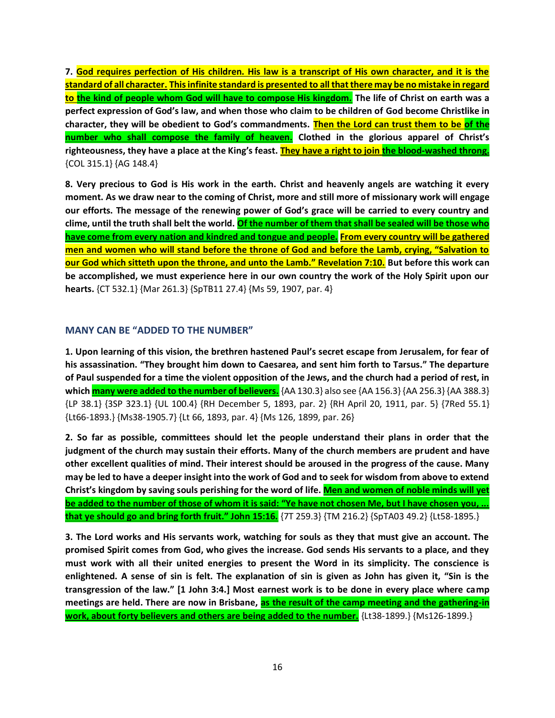**7. God requires perfection of His children. His law is a transcript of His own character, and it is the standard of all character. This infinite standard is presented to all that there may be no mistake in regard to the kind of people whom God will have to compose His kingdom. The life of Christ on earth was a perfect expression of God's law, and when those who claim to be children of God become Christlike in character, they will be obedient to God's commandments. Then the Lord can trust them to be of the number who shall compose the family of heaven. Clothed in the glorious apparel of Christ's righteousness, they have a place at the King's feast. They have a right to join the blood-washed throng.** {COL 315.1} {AG 148.4}

**8. Very precious to God is His work in the earth. Christ and heavenly angels are watching it every moment. As we draw near to the coming of Christ, more and still more of missionary work will engage our efforts. The message of the renewing power of God's grace will be carried to every country and clime, until the truth shall belt the world. Of the number of them that shall be sealed will be those who have come from every nation and kindred and tongue and people. From every country will be gathered men and women who will stand before the throne of God and before the Lamb, crying, "Salvation to our God which sitteth upon the throne, and unto the Lamb." Revelation 7:10. But before this work can be accomplished, we must experience here in our own country the work of the Holy Spirit upon our hearts.** {CT 532.1} {Mar 261.3} {SpTB11 27.4} {Ms 59, 1907, par. 4}

# **MANY CAN BE "ADDED TO THE NUMBER"**

**1. Upon learning of this vision, the brethren hastened Paul's secret escape from Jerusalem, for fear of his assassination. "They brought him down to Caesarea, and sent him forth to Tarsus." The departure of Paul suspended for a time the violent opposition of the Jews, and the church had a period of rest, in which many were added to the number of believers.** {AA 130.3} also see {AA 156.3} {AA 256.3} {AA 388.3} {LP 38.1} {3SP 323.1} {UL 100.4} {RH December 5, 1893, par. 2} {RH April 20, 1911, par. 5} {7Red 55.1} {Lt66-1893.} {Ms38-1905.7} {Lt 66, 1893, par. 4} {Ms 126, 1899, par. 26}

**2. So far as possible, committees should let the people understand their plans in order that the judgment of the church may sustain their efforts. Many of the church members are prudent and have other excellent qualities of mind. Their interest should be aroused in the progress of the cause. Many may be led to have a deeper insight into the work of God and to seek for wisdom from above to extend Christ's kingdom by saving souls perishing for the word of life. Men and women of noble minds will yet be added to the number of those of whom it is said: "Ye have not chosen Me, but I have chosen you, ... that ye should go and bring forth fruit." John 15:16.** {7T 259.3} {TM 216.2} {SpTA03 49.2} {Lt58-1895.}

**3. The Lord works and His servants work, watching for souls as they that must give an account. The promised Spirit comes from God, who gives the increase. God sends His servants to a place, and they must work with all their united energies to present the Word in its simplicity. The conscience is enlightened. A sense of sin is felt. The explanation of sin is given as John has given it, "Sin is the transgression of the law." [1 John 3:4.] Most earnest work is to be done in every place where camp meetings are held. There are now in Brisbane, as the result of the camp meeting and the gathering-in work, about forty believers and others are being added to the number.** {Lt38-1899.} {Ms126-1899.}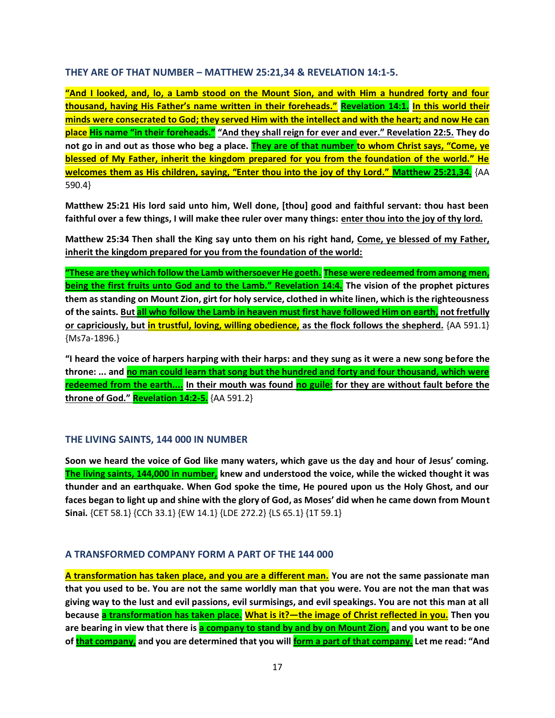### **THEY ARE OF THAT NUMBER – MATTHEW 25:21,34 & REVELATION 14:1-5.**

**"And I looked, and, lo, a Lamb stood on the Mount Sion, and with Him a hundred forty and four thousand, having His Father's name written in their foreheads." Revelation 14:1. In this world their minds were consecrated to God; they served Him with the intellect and with the heart; and now He can place His name "in their foreheads." "And they shall reign for ever and ever." Revelation 22:5. They do not go in and out as those who beg a place. They are of that number to whom Christ says, "Come, ye blessed of My Father, inherit the kingdom prepared for you from the foundation of the world." He welcomes them as His children, saying, "Enter thou into the joy of thy Lord." Matthew 25:21,34.** {AA 590.4}

**Matthew 25:21 His lord said unto him, Well done, [thou] good and faithful servant: thou hast been faithful over a few things, I will make thee ruler over many things: enter thou into the joy of thy lord.**

**Matthew 25:34 Then shall the King say unto them on his right hand, Come, ye blessed of my Father, inherit the kingdom prepared for you from the foundation of the world:**

**"These are they which follow the Lamb withersoever He goeth. These were redeemed from among men, being the first fruits unto God and to the Lamb." Revelation 14:4. The vision of the prophet pictures them as standing on Mount Zion, girt for holy service, clothed in white linen, which is the righteousness of the saints. But all who follow the Lamb in heaven must first have followed Him on earth, not fretfully or capriciously, but in trustful, loving, willing obedience, as the flock follows the shepherd.** {AA 591.1} {Ms7a-1896.}

**"I heard the voice of harpers harping with their harps: and they sung as it were a new song before the**  throne: ... and no man could learn that song but the hundred and forty and four thousand, which were **redeemed from the earth.... In their mouth was found no guile: for they are without fault before the throne of God." Revelation 14:2-5.** {AA 591.2}

#### **THE LIVING SAINTS, 144 000 IN NUMBER**

**Soon we heard the voice of God like many waters, which gave us the day and hour of Jesus' coming. The living saints, 144,000 in number, knew and understood the voice, while the wicked thought it was thunder and an earthquake. When God spoke the time, He poured upon us the Holy Ghost, and our faces began to light up and shine with the glory of God, as Moses' did when he came down from Mount Sinai.** {CET 58.1} {CCh 33.1} {EW 14.1} {LDE 272.2} {LS 65.1} {1T 59.1}

# **A TRANSFORMED COMPANY FORM A PART OF THE 144 000**

**A transformation has taken place, and you are a different man. You are not the same passionate man that you used to be. You are not the same worldly man that you were. You are not the man that was giving way to the lust and evil passions, evil surmisings, and evil speakings. You are not this man at all because a transformation has taken place. What is it?—the image of Christ reflected in you. Then you are bearing in view that there is a company to stand by and by on Mount Zion, and you want to be one of that company, and you are determined that you will form a part of that company. Let me read: "And**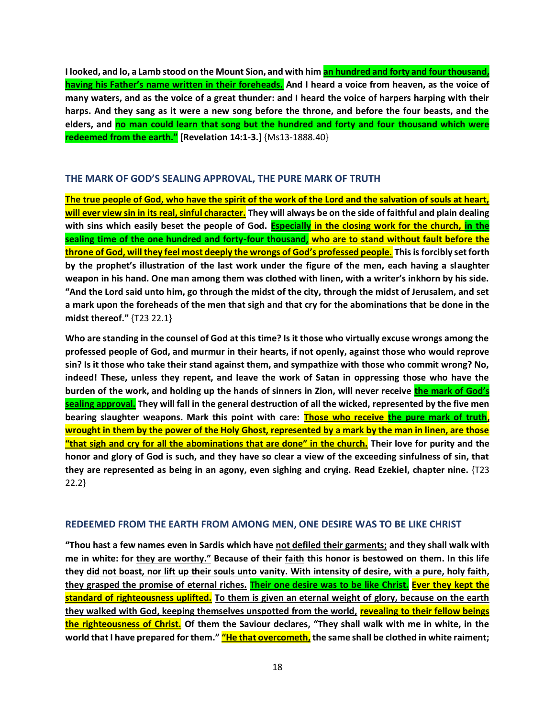**I looked, and lo, a Lamb stood on the Mount Sion, and with him an hundred and forty and four thousand, having his Father's name written in their foreheads. And I heard a voice from heaven, as the voice of many waters, and as the voice of a great thunder: and I heard the voice of harpers harping with their harps. And they sang as it were a new song before the throne, and before the four beasts, and the elders, and no man could learn that song but the hundred and forty and four thousand which were redeemed from the earth." [Revelation 14:1-3.]** {Ms13-1888.40}

# **THE MARK OF GOD'S SEALING APPROVAL, THE PURE MARK OF TRUTH**

**The true people of God, who have the spirit of the work of the Lord and the salvation of souls at heart, will ever view sin in its real, sinful character. They will always be on the side of faithful and plain dealing with sins which easily beset the people of God. Especially in the closing work for the church, in the sealing time of the one hundred and forty-four thousand, who are to stand without fault before the throne of God, will they feel most deeply the wrongs of God's professed people. This is forcibly set forth by the prophet's illustration of the last work under the figure of the men, each having a slaughter weapon in his hand. One man among them was clothed with linen, with a writer's inkhorn by his side. "And the Lord said unto him, go through the midst of the city, through the midst of Jerusalem, and set a mark upon the foreheads of the men that sigh and that cry for the abominations that be done in the midst thereof."** {T23 22.1}

**Who are standing in the counsel of God at this time? Is it those who virtually excuse wrongs among the professed people of God, and murmur in their hearts, if not openly, against those who would reprove sin? Is it those who take their stand against them, and sympathize with those who commit wrong? No, indeed! These, unless they repent, and leave the work of Satan in oppressing those who have the burden of the work, and holding up the hands of sinners in Zion, will never receive the mark of God's sealing approval. They will fall in the general destruction of all the wicked, represented by the five men bearing slaughter weapons. Mark this point with care: Those who receive the pure mark of truth, wrought in them by the power of the Holy Ghost, represented by a mark by the man in linen, are those "that sigh and cry for all the abominations that are done" in the church. Their love for purity and the honor and glory of God is such, and they have so clear a view of the exceeding sinfulness of sin, that they are represented as being in an agony, even sighing and crying. Read Ezekiel, chapter nine.** {T23 22.2}

# **REDEEMED FROM THE EARTH FROM AMONG MEN, ONE DESIRE WAS TO BE LIKE CHRIST**

**"Thou hast a few names even in Sardis which have not defiled their garments; and they shall walk with me in white: for they are worthy." Because of their faith this honor is bestowed on them. In this life they did not boast, nor lift up their souls unto vanity. With intensity of desire, with a pure, holy faith, they grasped the promise of eternal riches. Their one desire was to be like Christ. Ever they kept the standard of righteousness uplifted. To them is given an eternal weight of glory, because on the earth they walked with God, keeping themselves unspotted from the world, revealing to their fellow beings the righteousness of Christ. Of them the Saviour declares, "They shall walk with me in white, in the**  world that I have prepared for them." **He that overcometh**, the same shall be clothed in white raiment;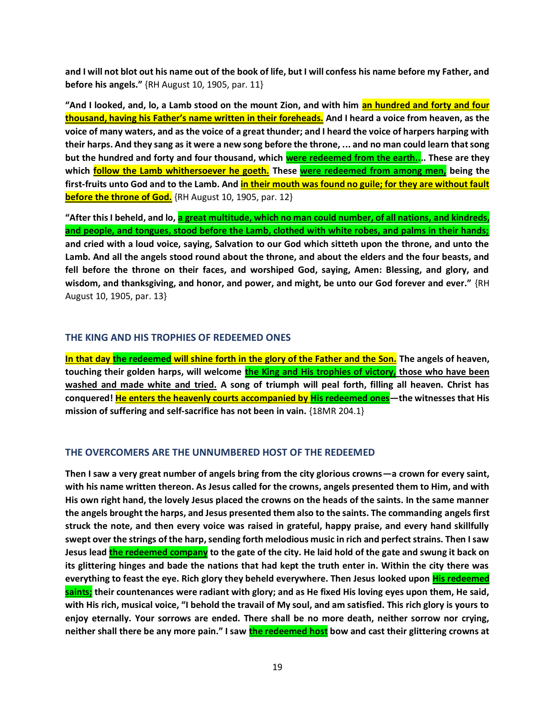**and I will not blot out his name out of the book of life, but I will confess his name before my Father, and before his angels."** {RH August 10, 1905, par. 11}

**"And I looked, and, lo, a Lamb stood on the mount Zion, and with him an hundred and forty and four thousand, having his Father's name written in their foreheads. And I heard a voice from heaven, as the voice of many waters, and as the voice of a great thunder; and I heard the voice of harpers harping with their harps. And they sang as it were a new song before the throne, ... and no man could learn that song but the hundred and forty and four thousand, which were redeemed from the earth.... These are they which follow the Lamb whithersoever he goeth. These were redeemed from among men, being the first-fruits unto God and to the Lamb. And in their mouth was found no guile; for they are without fault before the throne of God.** {RH August 10, 1905, par. 12}

**"After this I beheld, and lo, a great multitude, which no man could number, of all nations, and kindreds, and people, and tongues, stood before the Lamb, clothed with white robes, and palms in their hands; and cried with a loud voice, saying, Salvation to our God which sitteth upon the throne, and unto the Lamb. And all the angels stood round about the throne, and about the elders and the four beasts, and fell before the throne on their faces, and worshiped God, saying, Amen: Blessing, and glory, and wisdom, and thanksgiving, and honor, and power, and might, be unto our God forever and ever."** {RH August 10, 1905, par. 13}

#### **THE KING AND HIS TROPHIES OF REDEEMED ONES**

**In that day the redeemed will shine forth in the glory of the Father and the Son. The angels of heaven, touching their golden harps, will welcome the King and His trophies of victory, those who have been washed and made white and tried. A song of triumph will peal forth, filling all heaven. Christ has conquered! He enters the heavenly courts accompanied by His redeemed ones—the witnesses that His mission of suffering and self-sacrifice has not been in vain.** {18MR 204.1}

#### **THE OVERCOMERS ARE THE UNNUMBERED HOST OF THE REDEEMED**

**Then I saw a very great number of angels bring from the city glorious crowns—a crown for every saint, with his name written thereon. As Jesus called for the crowns, angels presented them to Him, and with His own right hand, the lovely Jesus placed the crowns on the heads of the saints. In the same manner the angels brought the harps, and Jesus presented them also to the saints. The commanding angels first struck the note, and then every voice was raised in grateful, happy praise, and every hand skillfully swept over the strings of the harp, sending forth melodious music in rich and perfect strains. Then I saw Jesus lead the redeemed company to the gate of the city. He laid hold of the gate and swung it back on its glittering hinges and bade the nations that had kept the truth enter in. Within the city there was everything to feast the eye. Rich glory they beheld everywhere. Then Jesus looked upon His redeemed saints; their countenances were radiant with glory; and as He fixed His loving eyes upon them, He said, with His rich, musical voice, "I behold the travail of My soul, and am satisfied. This rich glory is yours to enjoy eternally. Your sorrows are ended. There shall be no more death, neither sorrow nor crying, neither shall there be any more pain." I saw the redeemed host bow and cast their glittering crowns at**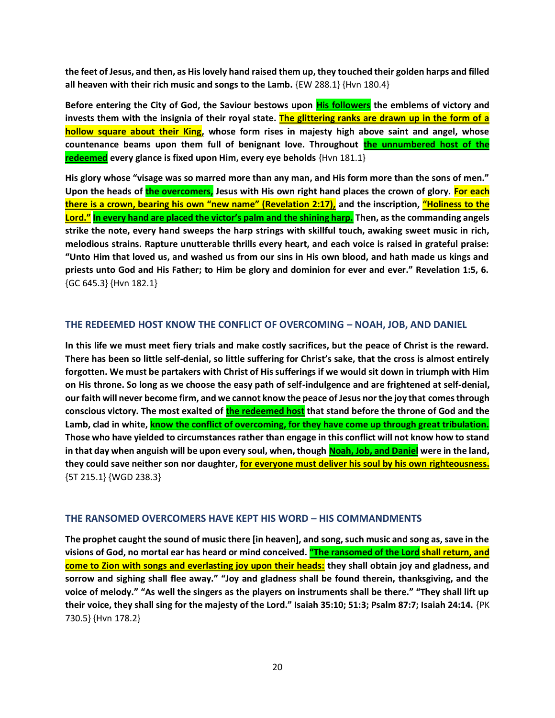**the feet of Jesus, and then, as His lovely hand raised them up, they touched their golden harps and filled all heaven with their rich music and songs to the Lamb.** {EW 288.1} {Hvn 180.4}

**Before entering the City of God, the Saviour bestows upon His followers the emblems of victory and invests them with the insignia of their royal state. The glittering ranks are drawn up in the form of a hollow square about their King, whose form rises in majesty high above saint and angel, whose countenance beams upon them full of benignant love. Throughout the unnumbered host of the redeemed every glance is fixed upon Him, every eye beholds** {Hvn 181.1}

**His glory whose "visage was so marred more than any man, and His form more than the sons of men." Upon the heads of the overcomers, Jesus with His own right hand places the crown of glory. For each there is a crown, bearing his own "new name" (Revelation 2:17), and the inscription, "Holiness to the Lord." In every hand are placed the victor's palm and the shining harp. Then, as the commanding angels strike the note, every hand sweeps the harp strings with skillful touch, awaking sweet music in rich, melodious strains. Rapture unutterable thrills every heart, and each voice is raised in grateful praise: "Unto Him that loved us, and washed us from our sins in His own blood, and hath made us kings and priests unto God and His Father; to Him be glory and dominion for ever and ever." Revelation 1:5, 6.**  {GC 645.3} {Hvn 182.1}

# **THE REDEEMED HOST KNOW THE CONFLICT OF OVERCOMING – NOAH, JOB, AND DANIEL**

**In this life we must meet fiery trials and make costly sacrifices, but the peace of Christ is the reward. There has been so little self-denial, so little suffering for Christ's sake, that the cross is almost entirely forgotten. We must be partakers with Christ of His sufferings if we would sit down in triumph with Him on His throne. So long as we choose the easy path of self-indulgence and are frightened at self-denial, our faith will never become firm, and we cannot know the peace of Jesus nor the joy that comes through conscious victory. The most exalted of the redeemed host that stand before the throne of God and the Lamb, clad in white, know the conflict of overcoming, for they have come up through great tribulation. Those who have yielded to circumstances rather than engage in this conflict will not know how to stand in that day when anguish will be upon every soul, when, though Noah, Job, and Daniel were in the land, they could save neither son nor daughter, for everyone must deliver his soul by his own righteousness.** {5T 215.1} {WGD 238.3}

# **THE RANSOMED OVERCOMERS HAVE KEPT HIS WORD – HIS COMMANDMENTS**

**The prophet caught the sound of music there [in heaven], and song, such music and song as, save in the visions of God, no mortal ear has heard or mind conceived. "The ransomed of the Lord shall return, and come to Zion with songs and everlasting joy upon their heads: they shall obtain joy and gladness, and sorrow and sighing shall flee away." "Joy and gladness shall be found therein, thanksgiving, and the voice of melody." "As well the singers as the players on instruments shall be there." "They shall lift up their voice, they shall sing for the majesty of the Lord." Isaiah 35:10; 51:3; Psalm 87:7; Isaiah 24:14.** {PK 730.5} {Hvn 178.2}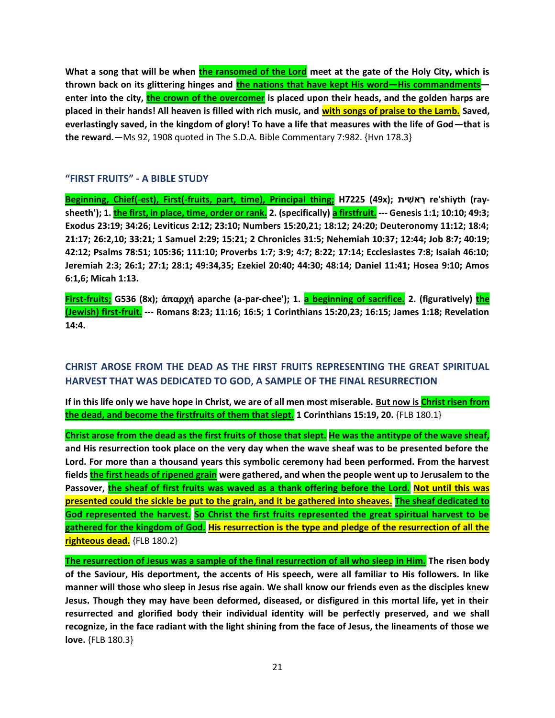**What a song that will be when the ransomed of the Lord meet at the gate of the Holy City, which is**  thrown back on its glittering hinges and **the nations that have kept His word—His commandments enter into the city, the crown of the overcomer is placed upon their heads, and the golden harps are placed in their hands! All heaven is filled with rich music, and with songs of praise to the Lamb. Saved, everlastingly saved, in the kingdom of glory! To have a life that measures with the life of God—that is the reward.**—Ms 92, 1908 quoted in The S.D.A. Bible Commentary 7:982. {Hvn 178.3}

# **"FIRST FRUITS" - A BIBLE STUDY**

**Beginning, Chief(-est), First(-fruits, part, time), Principal thing; H7225 (49x); ית ִׁאש ֵר re'shiyth (raysheeth'); 1. the first, in place, time, order or rank. 2. (specifically) a firstfruit. --- Genesis 1:1; 10:10; 49:3; Exodus 23:19; 34:26; Leviticus 2:12; 23:10; Numbers 15:20,21; 18:12; 24:20; Deuteronomy 11:12; 18:4; 21:17; 26:2,10; 33:21; 1 Samuel 2:29; 15:21; 2 Chronicles 31:5; Nehemiah 10:37; 12:44; Job 8:7; 40:19; 42:12; Psalms 78:51; 105:36; 111:10; Proverbs 1:7; 3:9; 4:7; 8:22; 17:14; Ecclesiastes 7:8; Isaiah 46:10; Jeremiah 2:3; 26:1; 27:1; 28:1; 49:34,35; Ezekiel 20:40; 44:30; 48:14; Daniel 11:41; Hosea 9:10; Amos 6:1,6; Micah 1:13.** 

**First-fruits; G536 (8x); ἀπαρχή aparche (a-par-chee'); 1. a beginning of sacrifice. 2. (figuratively) the (Jewish) first-fruit. --- Romans 8:23; 11:16; 16:5; 1 Corinthians 15:20,23; 16:15; James 1:18; Revelation 14:4.**

# **CHRIST AROSE FROM THE DEAD AS THE FIRST FRUITS REPRESENTING THE GREAT SPIRITUAL HARVEST THAT WAS DEDICATED TO GOD, A SAMPLE OF THE FINAL RESURRECTION**

**If in this life only we have hope in Christ, we are of all men most miserable. But now is Christ risen from the dead, and become the firstfruits of them that slept. 1 Corinthians 15:19, 20.** {FLB 180.1}

**Christ arose from the dead as the first fruits of those that slept. He was the antitype of the wave sheaf, and His resurrection took place on the very day when the wave sheaf was to be presented before the Lord. For more than a thousand years this symbolic ceremony had been performed. From the harvest fields the first heads of ripened grain were gathered, and when the people went up to Jerusalem to the Passover, the sheaf of first fruits was waved as a thank offering before the Lord. Not until this was presented could the sickle be put to the grain, and it be gathered into sheaves. The sheaf dedicated to God represented the harvest. So Christ the first fruits represented the great spiritual harvest to be gathered for the kingdom of God. His resurrection is the type and pledge of the resurrection of all the righteous dead.** {FLB 180.2}

**The resurrection of Jesus was a sample of the final resurrection of all who sleep in Him. The risen body of the Saviour, His deportment, the accents of His speech, were all familiar to His followers. In like manner will those who sleep in Jesus rise again. We shall know our friends even as the disciples knew Jesus. Though they may have been deformed, diseased, or disfigured in this mortal life, yet in their resurrected and glorified body their individual identity will be perfectly preserved, and we shall recognize, in the face radiant with the light shining from the face of Jesus, the lineaments of those we love.** {FLB 180.3}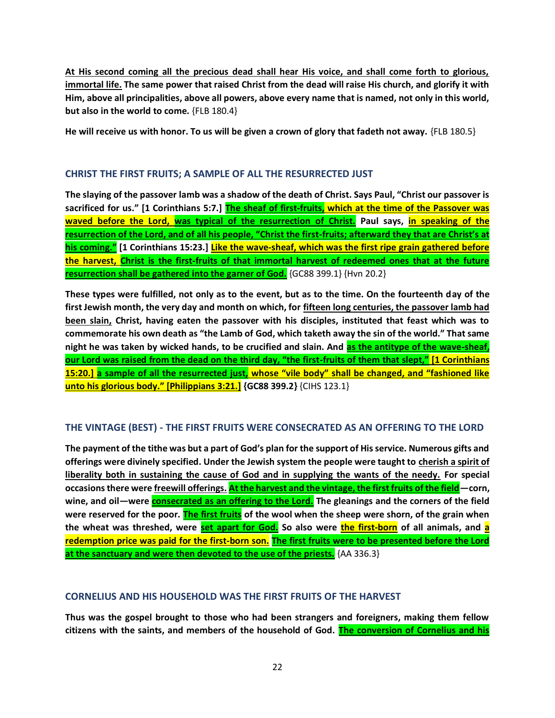**At His second coming all the precious dead shall hear His voice, and shall come forth to glorious, immortal life. The same power that raised Christ from the dead will raise His church, and glorify it with Him, above all principalities, above all powers, above every name that is named, not only in this world, but also in the world to come.** {FLB 180.4}

**He will receive us with honor. To us will be given a crown of glory that fadeth not away.** {FLB 180.5}

# **CHRIST THE FIRST FRUITS; A SAMPLE OF ALL THE RESURRECTED JUST**

**The slaying of the passover lamb was a shadow of the death of Christ. Says Paul, "Christ our passover is sacrificed for us." [1 Corinthians 5:7.] The sheaf of first-fruits, which at the time of the Passover was waved before the Lord, was typical of the resurrection of Christ. Paul says, in speaking of the resurrection of the Lord, and of all his people, "Christ the first-fruits; afterward they that are Christ's at his coming." [1 Corinthians 15:23.] Like the wave-sheaf, which was the first ripe grain gathered before the harvest, Christ is the first-fruits of that immortal harvest of redeemed ones that at the future resurrection shall be gathered into the garner of God.** {GC88 399.1} {Hvn 20.2}

**These types were fulfilled, not only as to the event, but as to the time. On the fourteenth day of the first Jewish month, the very day and month on which, for fifteen long centuries, the passover lamb had been slain, Christ, having eaten the passover with his disciples, instituted that feast which was to commemorate his own death as "the Lamb of God, which taketh away the sin of the world." That same night he was taken by wicked hands, to be crucified and slain. And as the antitype of the wave-sheaf, our Lord was raised from the dead on the third day, "the first-fruits of them that slept," [1 Corinthians 15:20.] a sample of all the resurrected just, whose "vile body" shall be changed, and "fashioned like unto his glorious body." [Philippians 3:21.] {GC88 399.2}** {CIHS 123.1}

# **THE VINTAGE (BEST) - THE FIRST FRUITS WERE CONSECRATED AS AN OFFERING TO THE LORD**

**The payment of the tithe was but a part of God's plan for the support of His service. Numerous gifts and offerings were divinely specified. Under the Jewish system the people were taught to cherish a spirit of liberality both in sustaining the cause of God and in supplying the wants of the needy. For special occasions there were freewill offerings. At the harvest and the vintage, the first fruits of the field—corn, wine, and oil—were consecrated as an offering to the Lord. The gleanings and the corners of the field were reserved for the poor. The first fruits of the wool when the sheep were shorn, of the grain when the wheat was threshed, were set apart for God. So also were the first-born of all animals, and a redemption price was paid for the first-born son. The first fruits were to be presented before the Lord at the sanctuary and were then devoted to the use of the priests.** {AA 336.3}

# **CORNELIUS AND HIS HOUSEHOLD WAS THE FIRST FRUITS OF THE HARVEST**

**Thus was the gospel brought to those who had been strangers and foreigners, making them fellow citizens with the saints, and members of the household of God. The conversion of Cornelius and his**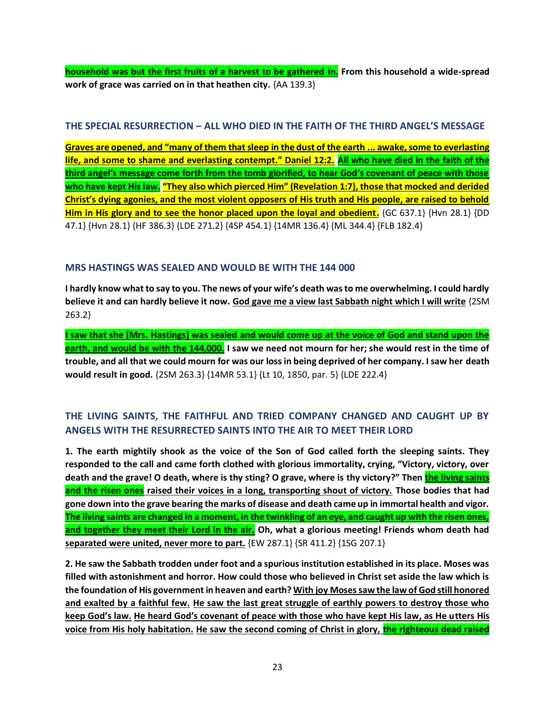**household was but the first fruits of a harvest to be gathered in. From this household a wide-spread work of grace was carried on in that heathen city.** {AA 139.3}

# **THE SPECIAL RESURRECTION – ALL WHO DIED IN THE FAITH OF THE THIRD ANGEL'S MESSAGE**

**Graves are opened, and "many of them that sleep in the dust of the earth ... awake, some to everlasting life, and some to shame and everlasting contempt." Daniel 12:2. All who have died in the faith of the third angel's message come forth from the tomb glorified, to hear God's covenant of peace with those who have kept His law. "They also which pierced Him" (Revelation 1:7), those that mocked and derided Christ's dying agonies, and the most violent opposers of His truth and His people, are raised to behold Him in His glory and to see the honor placed upon the loyal and obedient.** {GC 637.1} {Hvn 28.1} {DD 47.1} {Hvn 28.1} {HF 386.3} {LDE 271.2} {4SP 454.1} {14MR 136.4} {ML 344.4} {FLB 182.4}

# **MRS HASTINGS WAS SEALED AND WOULD BE WITH THE 144 000**

**I hardly know what to say to you. The news of your wife's death was to me overwhelming. I could hardly believe it and can hardly believe it now. God gave me a view last Sabbath night which I will write** {2SM 263.2}

**I saw that she [Mrs. Hastings] was sealed and would come up at the voice of God and stand upon the earth, and would be with the 144,000. I saw we need not mourn for her; she would rest in the time of trouble, and all that we could mourn for was our loss in being deprived of her company. I saw her death would result in good.** {2SM 263.3} {14MR 53.1} {Lt 10, 1850, par. 5} {LDE 222.4}

# **THE LIVING SAINTS, THE FAITHFUL AND TRIED COMPANY CHANGED AND CAUGHT UP BY ANGELS WITH THE RESURRECTED SAINTS INTO THE AIR TO MEET THEIR LORD**

**1. The earth mightily shook as the voice of the Son of God called forth the sleeping saints. They responded to the call and came forth clothed with glorious immortality, crying, "Victory, victory, over death and the grave! O death, where is thy sting? O grave, where is thy victory?" Then the living saints and the risen ones raised their voices in a long, transporting shout of victory. Those bodies that had gone down into the grave bearing the marks of disease and death came up in immortal health and vigor. The living saints are changed in a moment, in the twinkling of an eye, and caught up with the risen ones, and together they meet their Lord in the air. Oh, what a glorious meeting! Friends whom death had separated were united, never more to part.** {EW 287.1} {SR 411.2} {1SG 207.1}

**2. He saw the Sabbath trodden under foot and a spurious institution established in its place. Moses was filled with astonishment and horror. How could those who believed in Christ set aside the law which is the foundation of His government in heaven and earth? With joy Moses saw the law of God still honored and exalted by a faithful few. He saw the last great struggle of earthly powers to destroy those who keep God's law. He heard God's covenant of peace with those who have kept His law, as He utters His voice from His holy habitation. He saw the second coming of Christ in glory, the righteous dead raised**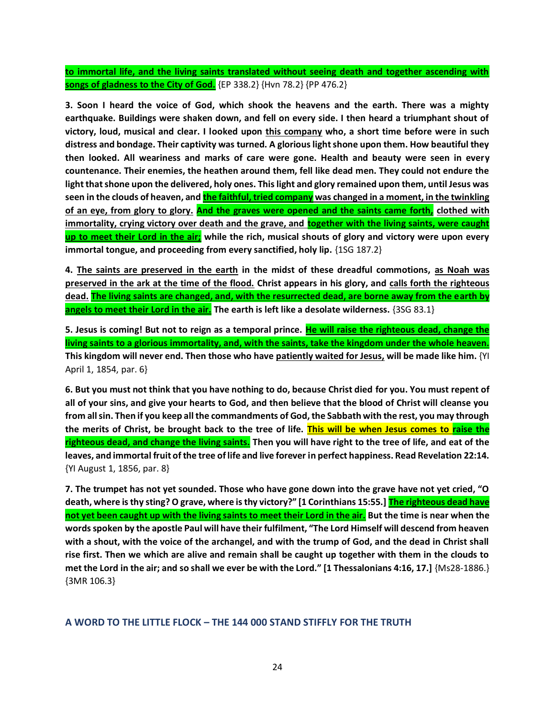**to immortal life, and the living saints translated without seeing death and together ascending with**  songs of gladness to the City of God. {EP 338.2} {Hvn 78.2} {PP 476.2}

**3. Soon I heard the voice of God, which shook the heavens and the earth. There was a mighty earthquake. Buildings were shaken down, and fell on every side. I then heard a triumphant shout of victory, loud, musical and clear. I looked upon this company who, a short time before were in such distress and bondage. Their captivity was turned. A glorious light shone upon them. How beautiful they then looked. All weariness and marks of care were gone. Health and beauty were seen in every countenance. Their enemies, the heathen around them, fell like dead men. They could not endure the light that shone upon the delivered, holy ones. This light and glory remained upon them, until Jesus was seen in the clouds of heaven, and the faithful, tried company was changed in a moment, in the twinkling of an eye, from glory to glory. And the graves were opened and the saints came forth, clothed with immortality, crying victory over death and the grave, and together with the living saints, were caught up to meet their Lord in the air; while the rich, musical shouts of glory and victory were upon every immortal tongue, and proceeding from every sanctified, holy lip.** {1SG 187.2}

**4. The saints are preserved in the earth in the midst of these dreadful commotions, as Noah was preserved in the ark at the time of the flood. Christ appears in his glory, and calls forth the righteous dead. The living saints are changed, and, with the resurrected dead, are borne away from the earth by angels to meet their Lord in the air. The earth is left like a desolate wilderness.** {3SG 83.1}

**5. Jesus is coming! But not to reign as a temporal prince. He will raise the righteous dead, change the living saints to a glorious immortality, and, with the saints, take the kingdom under the whole heaven. This kingdom will never end. Then those who have patiently waited for Jesus, will be made like him.** {YI April 1, 1854, par. 6}

**6. But you must not think that you have nothing to do, because Christ died for you. You must repent of all of your sins, and give your hearts to God, and then believe that the blood of Christ will cleanse you from all sin. Then if you keep all the commandments of God, the Sabbath with the rest, you may through the merits of Christ, be brought back to the tree of life. This will be when Jesus comes to raise the righteous dead, and change the living saints. Then you will have right to the tree of life, and eat of the leaves, and immortal fruit of the tree of life and live forever in perfect happiness. Read Revelation 22:14.** {YI August 1, 1856, par. 8}

**7. The trumpet has not yet sounded. Those who have gone down into the grave have not yet cried, "O death, where is thy sting? O grave, where is thy victory?" [1 Corinthians 15:55.] The righteous dead have not yet been caught up with the living saints to meet their Lord in the air. But the time is near when the words spoken by the apostle Paul will have their fulfilment, "The Lord Himself will descend from heaven with a shout, with the voice of the archangel, and with the trump of God, and the dead in Christ shall rise first. Then we which are alive and remain shall be caught up together with them in the clouds to met the Lord in the air; and so shall we ever be with the Lord." [1 Thessalonians 4:16, 17.]** {Ms28-1886.} {3MR 106.3}

# **A WORD TO THE LITTLE FLOCK – THE 144 000 STAND STIFFLY FOR THE TRUTH**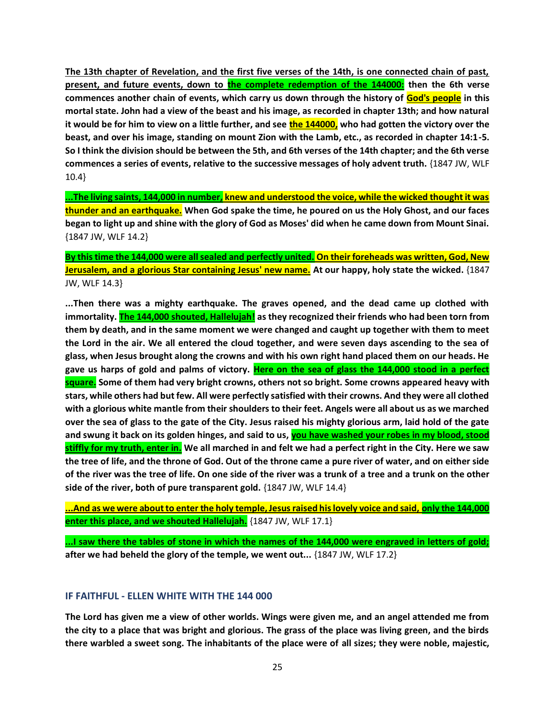**The 13th chapter of Revelation, and the first five verses of the 14th, is one connected chain of past, present, and future events, down to the complete redemption of the 144000: then the 6th verse commences another chain of events, which carry us down through the history of God's people in this mortal state. John had a view of the beast and his image, as recorded in chapter 13th; and how natural it would be for him to view on a little further, and see the 144000, who had gotten the victory over the beast, and over his image, standing on mount Zion with the Lamb, etc., as recorded in chapter 14:1-5. So I think the division should be between the 5th, and 6th verses of the 14th chapter; and the 6th verse commences a series of events, relative to the successive messages of holy advent truth.** {1847 JW, WLF 10.4}

**...The living saints, 144,000 in number, knew and understood the voice, while the wicked thought it was thunder and an earthquake. When God spake the time, he poured on us the Holy Ghost, and our faces began to light up and shine with the glory of God as Moses' did when he came down from Mount Sinai.** {1847 JW, WLF 14.2}

**By this time the 144,000 were all sealed and perfectly united. On their foreheads was written, God, New Jerusalem, and a glorious Star containing Jesus' new name. At our happy, holy state the wicked.** {1847 JW, WLF 14.3}

**...Then there was a mighty earthquake. The graves opened, and the dead came up clothed with immortality. The 144,000 shouted, Hallelujah! as they recognized their friends who had been torn from them by death, and in the same moment we were changed and caught up together with them to meet the Lord in the air. We all entered the cloud together, and were seven days ascending to the sea of glass, when Jesus brought along the crowns and with his own right hand placed them on our heads. He gave us harps of gold and palms of victory. Here on the sea of glass the 144,000 stood in a perfect square. Some of them had very bright crowns, others not so bright. Some crowns appeared heavy with stars, while others had but few. All were perfectly satisfied with their crowns. And they were all clothed with a glorious white mantle from their shoulders to their feet. Angels were all about us as we marched over the sea of glass to the gate of the City. Jesus raised his mighty glorious arm, laid hold of the gate and swung it back on its golden hinges, and said to us, you have washed your robes in my blood, stood stiffly for my truth, enter in. We all marched in and felt we had a perfect right in the City. Here we saw the tree of life, and the throne of God. Out of the throne came a pure river of water, and on either side of the river was the tree of life. On one side of the river was a trunk of a tree and a trunk on the other side of the river, both of pure transparent gold.** {1847 JW, WLF 14.4}

**...And as we were about to enter the holy temple, Jesus raised his lovely voice and said, only the 144,000 enter this place, and we shouted Hallelujah.** {1847 JW, WLF 17.1}

**...I saw there the tables of stone in which the names of the 144,000 were engraved in letters of gold; after we had beheld the glory of the temple, we went out...** {1847 JW, WLF 17.2}

# **IF FAITHFUL - ELLEN WHITE WITH THE 144 000**

**The Lord has given me a view of other worlds. Wings were given me, and an angel attended me from the city to a place that was bright and glorious. The grass of the place was living green, and the birds there warbled a sweet song. The inhabitants of the place were of all sizes; they were noble, majestic,**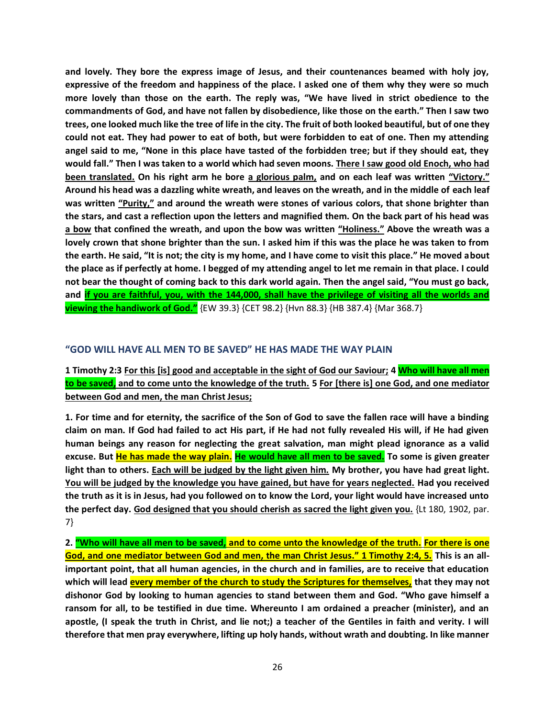**and lovely. They bore the express image of Jesus, and their countenances beamed with holy joy, expressive of the freedom and happiness of the place. I asked one of them why they were so much more lovely than those on the earth. The reply was, "We have lived in strict obedience to the commandments of God, and have not fallen by disobedience, like those on the earth." Then I saw two trees, one looked much like the tree of life in the city. The fruit of both looked beautiful, but of one they could not eat. They had power to eat of both, but were forbidden to eat of one. Then my attending angel said to me, "None in this place have tasted of the forbidden tree; but if they should eat, they would fall." Then I was taken to a world which had seven moons. There I saw good old Enoch, who had been translated. On his right arm he bore a glorious palm, and on each leaf was written "Victory." Around his head was a dazzling white wreath, and leaves on the wreath, and in the middle of each leaf was written "Purity," and around the wreath were stones of various colors, that shone brighter than the stars, and cast a reflection upon the letters and magnified them. On the back part of his head was a bow that confined the wreath, and upon the bow was written "Holiness." Above the wreath was a lovely crown that shone brighter than the sun. I asked him if this was the place he was taken to from the earth. He said, "It is not; the city is my home, and I have come to visit this place." He moved about the place as if perfectly at home. I begged of my attending angel to let me remain in that place. I could not bear the thought of coming back to this dark world again. Then the angel said, "You must go back, and if you are faithful, you, with the 144,000, shall have the privilege of visiting all the worlds and viewing the handiwork of God."** {EW 39.3} {CET 98.2} {Hvn 88.3} {HB 387.4} {Mar 368.7}

# **"GOD WILL HAVE ALL MEN TO BE SAVED" HE HAS MADE THE WAY PLAIN**

**1 Timothy 2:3 For this [is] good and acceptable in the sight of God our Saviour; 4 Who will have all men to be saved, and to come unto the knowledge of the truth. 5 For [there is] one God, and one mediator between God and men, the man Christ Jesus;**

**1. For time and for eternity, the sacrifice of the Son of God to save the fallen race will have a binding claim on man. If God had failed to act His part, if He had not fully revealed His will, if He had given human beings any reason for neglecting the great salvation, man might plead ignorance as a valid excuse. But He has made the way plain. He would have all men to be saved. To some is given greater light than to others. Each will be judged by the light given him. My brother, you have had great light. You will be judged by the knowledge you have gained, but have for years neglected. Had you received the truth as it is in Jesus, had you followed on to know the Lord, your light would have increased unto the perfect day. God designed that you should cherish as sacred the light given you.** {Lt 180, 1902, par. 7}

**2. "Who will have all men to be saved, and to come unto the knowledge of the truth. For there is one God, and one mediator between God and men, the man Christ Jesus." 1 Timothy 2:4, 5. This is an allimportant point, that all human agencies, in the church and in families, are to receive that education which will lead every member of the church to study the Scriptures for themselves, that they may not dishonor God by looking to human agencies to stand between them and God. "Who gave himself a ransom for all, to be testified in due time. Whereunto I am ordained a preacher (minister), and an apostle, (I speak the truth in Christ, and lie not;) a teacher of the Gentiles in faith and verity. I will therefore that men pray everywhere, lifting up holy hands, without wrath and doubting. In like manner**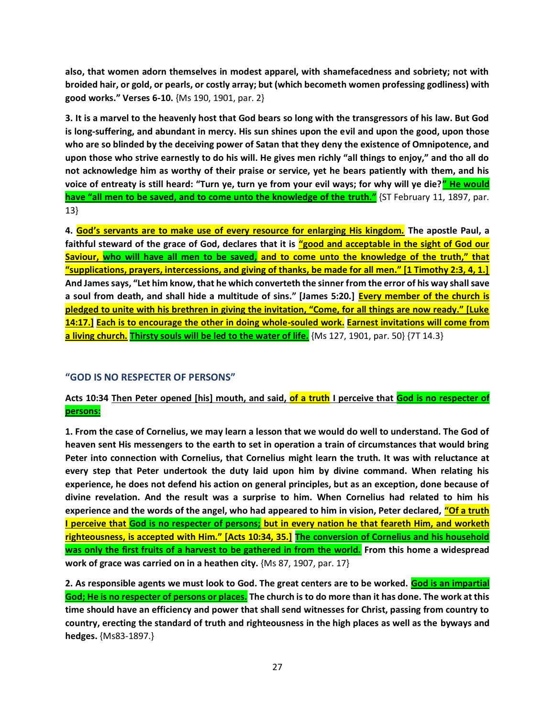**also, that women adorn themselves in modest apparel, with shamefacedness and sobriety; not with broided hair, or gold, or pearls, or costly array; but (which becometh women professing godliness) with good works." Verses 6-10.** {Ms 190, 1901, par. 2}

**3. It is a marvel to the heavenly host that God bears so long with the transgressors of his law. But God is long-suffering, and abundant in mercy. His sun shines upon the evil and upon the good, upon those who are so blinded by the deceiving power of Satan that they deny the existence of Omnipotence, and upon those who strive earnestly to do his will. He gives men richly "all things to enjoy," and tho all do not acknowledge him as worthy of their praise or service, yet he bears patiently with them, and his voice of entreaty is still heard: "Turn ye, turn ye from your evil ways; for why will ye die?" He would have "all men to be saved, and to come unto the knowledge of the truth."** {ST February 11, 1897, par. 13}

**4. God's servants are to make use of every resource for enlarging His kingdom. The apostle Paul, a faithful steward of the grace of God, declares that it is "good and acceptable in the sight of God our Saviour, who will have all men to be saved, and to come unto the knowledge of the truth," that "supplications, prayers, intercessions, and giving of thanks, be made for all men." [1 Timothy 2:3, 4, 1.] And James says, "Let him know, that he which converteth the sinner from the error of his way shall save a soul from death, and shall hide a multitude of sins." [James 5:20.] Every member of the church is pledged to unite with his brethren in giving the invitation, "Come, for all things are now ready." [Luke 14:17.] Each is to encourage the other in doing whole-souled work. Earnest invitations will come from a living church. Thirsty souls will be led to the water of life.** {Ms 127, 1901, par. 50} {7T 14.3}

# **"GOD IS NO RESPECTER OF PERSONS"**

# **Acts 10:34 Then Peter opened [his] mouth, and said, of a truth I perceive that God is no respecter of persons:**

**1. From the case of Cornelius, we may learn a lesson that we would do well to understand. The God of heaven sent His messengers to the earth to set in operation a train of circumstances that would bring Peter into connection with Cornelius, that Cornelius might learn the truth. It was with reluctance at every step that Peter undertook the duty laid upon him by divine command. When relating his experience, he does not defend his action on general principles, but as an exception, done because of divine revelation. And the result was a surprise to him. When Cornelius had related to him his experience and the words of the angel, who had appeared to him in vision, Peter declared, "Of a truth I perceive that God is no respecter of persons; but in every nation he that feareth Him, and worketh righteousness, is accepted with Him." [Acts 10:34, 35.] The conversion of Cornelius and his household was only the first fruits of a harvest to be gathered in from the world. From this home a widespread work of grace was carried on in a heathen city.** {Ms 87, 1907, par. 17}

**2. As responsible agents we must look to God. The great centers are to be worked. God is an impartial God; He is no respecter of persons or places. The church is to do more than it has done. The work at this time should have an efficiency and power that shall send witnesses for Christ, passing from country to country, erecting the standard of truth and righteousness in the high places as well as the byways and hedges.** {Ms83-1897.}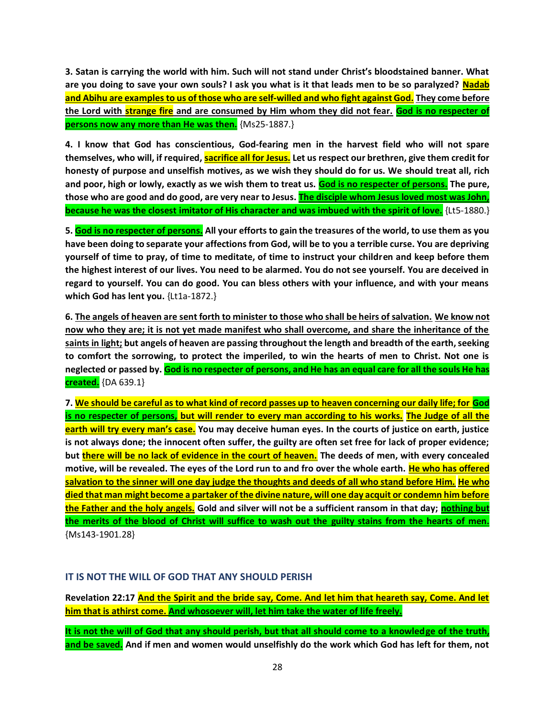**3. Satan is carrying the world with him. Such will not stand under Christ's bloodstained banner. What are you doing to save your own souls? I ask you what is it that leads men to be so paralyzed? Nadab and Abihu are examples to us of those who are self-willed and who fight against God. They come before the Lord with strange fire and are consumed by Him whom they did not fear. God is no respecter of persons now any more than He was then.** {Ms25-1887.}

**4. I know that God has conscientious, God-fearing men in the harvest field who will not spare themselves, who will, if required, sacrifice all for Jesus. Let us respect our brethren, give them credit for honesty of purpose and unselfish motives, as we wish they should do for us. We should treat all, rich and poor, high or lowly, exactly as we wish them to treat us. God is no respecter of persons. The pure, those who are good and do good, are very near to Jesus. The disciple whom Jesus loved most was John, because he was the closest imitator of His character and was imbued with the spirit of love.** {Lt5-1880.}

**5. God is no respecter of persons. All your efforts to gain the treasures of the world, to use them as you have been doing to separate your affections from God, will be to you a terrible curse. You are depriving yourself of time to pray, of time to meditate, of time to instruct your children and keep before them the highest interest of our lives. You need to be alarmed. You do not see yourself. You are deceived in regard to yourself. You can do good. You can bless others with your influence, and with your means which God has lent you.** {Lt1a-1872.}

**6. The angels of heaven are sent forth to minister to those who shall be heirs of salvation. We know not now who they are; it is not yet made manifest who shall overcome, and share the inheritance of the saints in light; but angels of heaven are passing throughout the length and breadth of the earth, seeking to comfort the sorrowing, to protect the imperiled, to win the hearts of men to Christ. Not one is neglected or passed by. God is no respecter of persons, and He has an equal care for all the souls He has created.** {DA 639.1}

**7. We should be careful as to what kind of record passes up to heaven concerning our daily life; for God is no respecter of persons, but will render to every man according to his works. The Judge of all the earth will try every man's case. You may deceive human eyes. In the courts of justice on earth, justice is not always done; the innocent often suffer, the guilty are often set free for lack of proper evidence; but there will be no lack of evidence in the court of heaven. The deeds of men, with every concealed motive, will be revealed. The eyes of the Lord run to and fro over the whole earth. He who has offered salvation to the sinner will one day judge the thoughts and deeds of all who stand before Him. He who died that man might become a partaker of the divine nature, will one day acquit or condemn him before the Father and the holy angels.** Gold and silver will not be a sufficient ransom in that day; nothing but **the merits of the blood of Christ will suffice to wash out the guilty stains from the hearts of men.** {Ms143-1901.28}

# **IT IS NOT THE WILL OF GOD THAT ANY SHOULD PERISH**

**Revelation 22:17 And the Spirit and the bride say, Come. And let him that heareth say, Come. And let him that is athirst come. And whosoever will, let him take the water of life freely.**

**It is not the will of God that any should perish, but that all should come to a knowledge of the truth, and be saved. And if men and women would unselfishly do the work which God has left for them, not**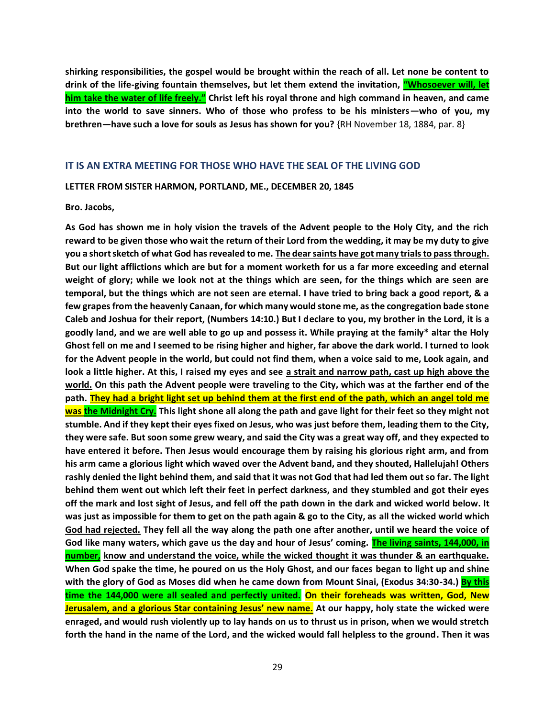**shirking responsibilities, the gospel would be brought within the reach of all. Let none be content to drink of the life-giving fountain themselves, but let them extend the invitation, "Whosoever will, let him take the water of life freely." Christ left his royal throne and high command in heaven, and came into the world to save sinners. Who of those who profess to be his ministers—who of you, my brethren—have such a love for souls as Jesus has shown for you?** {RH November 18, 1884, par. 8}

#### **IT IS AN EXTRA MEETING FOR THOSE WHO HAVE THE SEAL OF THE LIVING GOD**

#### **LETTER FROM SISTER HARMON, PORTLAND, ME., DECEMBER 20, 1845**

#### **Bro. Jacobs,**

**As God has shown me in holy vision the travels of the Advent people to the Holy City, and the rich reward to be given those who wait the return of their Lord from the wedding, it may be my duty to give you a short sketch of what God has revealed to me. The dear saints have got many trials to pass through. But our light afflictions which are but for a moment worketh for us a far more exceeding and eternal weight of glory; while we look not at the things which are seen, for the things which are seen are temporal, but the things which are not seen are eternal. I have tried to bring back a good report, & a few grapes from the heavenly Canaan, for which many would stone me, as the congregation bade stone Caleb and Joshua for their report, (Numbers 14:10.) But I declare to you, my brother in the Lord, it is a goodly land, and we are well able to go up and possess it. While praying at the family\* altar the Holy Ghost fell on me and I seemed to be rising higher and higher, far above the dark world. I turned to look for the Advent people in the world, but could not find them, when a voice said to me, Look again, and look a little higher. At this, I raised my eyes and see a strait and narrow path, cast up high above the world. On this path the Advent people were traveling to the City, which was at the farther end of the path. They had a bright light set up behind them at the first end of the path, which an angel told me was the Midnight Cry. This light shone all along the path and gave light for their feet so they might not stumble. And if they kept their eyes fixed on Jesus, who was just before them, leading them to the City, they were safe. But soon some grew weary, and said the City was a great way off, and they expected to have entered it before. Then Jesus would encourage them by raising his glorious right arm, and from his arm came a glorious light which waved over the Advent band, and they shouted, Hallelujah! Others rashly denied the light behind them, and said that it was not God that had led them out so far. The light behind them went out which left their feet in perfect darkness, and they stumbled and got their eyes off the mark and lost sight of Jesus, and fell off the path down in the dark and wicked world below. It was just as impossible for them to get on the path again & go to the City, as all the wicked world which God had rejected. They fell all the way along the path one after another, until we heard the voice of God like many waters, which gave us the day and hour of Jesus' coming. The living saints, 144,000, in number, know and understand the voice, while the wicked thought it was thunder & an earthquake. When God spake the time, he poured on us the Holy Ghost, and our faces began to light up and shine with the glory of God as Moses did when he came down from Mount Sinai, (Exodus 34:30-34.) By this time the 144,000 were all sealed and perfectly united. On their foreheads was written, God, New Jerusalem, and a glorious Star containing Jesus' new name. At our happy, holy state the wicked were enraged, and would rush violently up to lay hands on us to thrust us in prison, when we would stretch forth the hand in the name of the Lord, and the wicked would fall helpless to the ground. Then it was**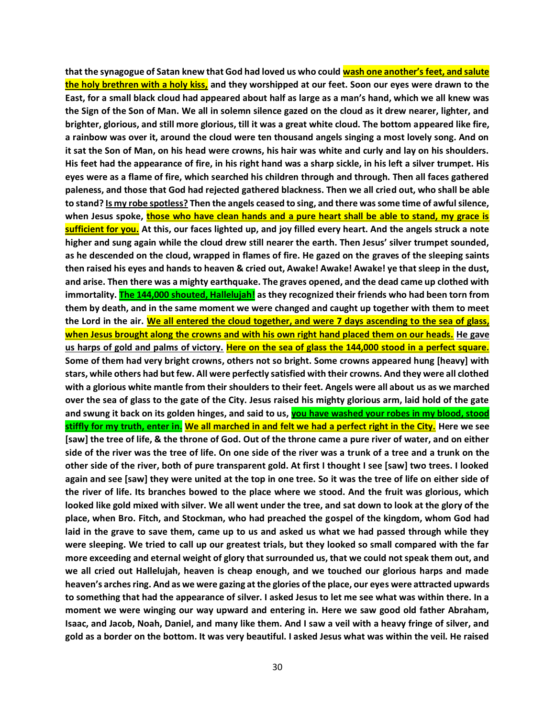**that the synagogue of Satan knew that God had loved us who could wash one another's feet, and salute the holy brethren with a holy kiss, and they worshipped at our feet. Soon our eyes were drawn to the East, for a small black cloud had appeared about half as large as a man's hand, which we all knew was the Sign of the Son of Man. We all in solemn silence gazed on the cloud as it drew nearer, lighter, and brighter, glorious, and still more glorious, till it was a great white cloud. The bottom appeared like fire, a rainbow was over it, around the cloud were ten thousand angels singing a most lovely song. And on it sat the Son of Man, on his head were crowns, his hair was white and curly and lay on his shoulders. His feet had the appearance of fire, in his right hand was a sharp sickle, in his left a silver trumpet. His eyes were as a flame of fire, which searched his children through and through. Then all faces gathered paleness, and those that God had rejected gathered blackness. Then we all cried out, who shall be able to stand? Is my robe spotless? Then the angels ceased to sing, and there was some time of awful silence, when Jesus spoke, those who have clean hands and a pure heart shall be able to stand, my grace is sufficient for you. At this, our faces lighted up, and joy filled every heart. And the angels struck a note higher and sung again while the cloud drew still nearer the earth. Then Jesus' silver trumpet sounded, as he descended on the cloud, wrapped in flames of fire. He gazed on the graves of the sleeping saints then raised his eyes and hands to heaven & cried out, Awake! Awake! Awake! ye that sleep in the dust, and arise. Then there was a mighty earthquake. The graves opened, and the dead came up clothed with immortality. The 144,000 shouted, Hallelujah! as they recognized their friends who had been torn from them by death, and in the same moment we were changed and caught up together with them to meet the Lord in the air. We all entered the cloud together, and were 7 days ascending to the sea of glass, when Jesus brought along the crowns and with his own right hand placed them on our heads. He gave us harps of gold and palms of victory. Here on the sea of glass the 144,000 stood in a perfect square. Some of them had very bright crowns, others not so bright. Some crowns appeared hung [heavy] with stars, while others had but few. All were perfectly satisfied with their crowns. And they were all clothed with a glorious white mantle from their shoulders to their feet. Angels were all about us as we marched over the sea of glass to the gate of the City. Jesus raised his mighty glorious arm, laid hold of the gate and swung it back on its golden hinges, and said to us, you have washed your robes in my blood, stood stiffly for my truth, enter in. We all marched in and felt we had a perfect right in the City. Here we see [saw] the tree of life, & the throne of God. Out of the throne came a pure river of water, and on either side of the river was the tree of life. On one side of the river was a trunk of a tree and a trunk on the other side of the river, both of pure transparent gold. At first I thought I see [saw] two trees. I looked again and see [saw] they were united at the top in one tree. So it was the tree of life on either side of the river of life. Its branches bowed to the place where we stood. And the fruit was glorious, which looked like gold mixed with silver. We all went under the tree, and sat down to look at the glory of the place, when Bro. Fitch, and Stockman, who had preached the gospel of the kingdom, whom God had laid in the grave to save them, came up to us and asked us what we had passed through while they were sleeping. We tried to call up our greatest trials, but they looked so small compared with the far more exceeding and eternal weight of glory that surrounded us, that we could not speak them out, and we all cried out Hallelujah, heaven is cheap enough, and we touched our glorious harps and made heaven's arches ring. And as we were gazing at the glories of the place, our eyes were attracted upwards to something that had the appearance of silver. I asked Jesus to let me see what was within there. In a moment we were winging our way upward and entering in. Here we saw good old father Abraham, Isaac, and Jacob, Noah, Daniel, and many like them. And I saw a veil with a heavy fringe of silver, and gold as a border on the bottom. It was very beautiful. I asked Jesus what was within the veil. He raised**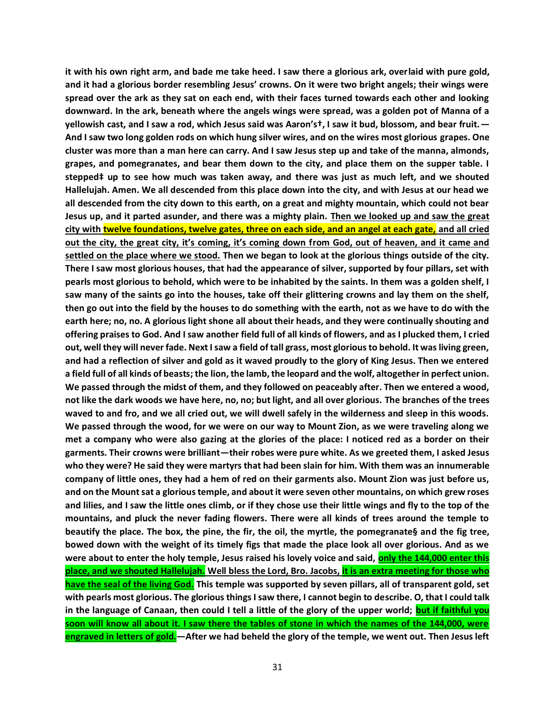**it with his own right arm, and bade me take heed. I saw there a glorious ark, overlaid with pure gold, and it had a glorious border resembling Jesus' crowns. On it were two bright angels; their wings were spread over the ark as they sat on each end, with their faces turned towards each other and looking downward. In the ark, beneath where the angels wings were spread, was a golden pot of Manna of a yellowish cast, and I saw a rod, which Jesus said was Aaron's†, I saw it bud, blossom, and bear fruit.— And I saw two long golden rods on which hung silver wires, and on the wires most glorious grapes. One cluster was more than a man here can carry. And I saw Jesus step up and take of the manna, almonds, grapes, and pomegranates, and bear them down to the city, and place them on the supper table. I stepped‡ up to see how much was taken away, and there was just as much left, and we shouted Hallelujah. Amen. We all descended from this place down into the city, and with Jesus at our head we all descended from the city down to this earth, on a great and mighty mountain, which could not bear Jesus up, and it parted asunder, and there was a mighty plain. Then we looked up and saw the great city with twelve foundations, twelve gates, three on each side, and an angel at each gate, and all cried out the city, the great city, it's coming, it's coming down from God, out of heaven, and it came and settled on the place where we stood. Then we began to look at the glorious things outside of the city. There I saw most glorious houses, that had the appearance of silver, supported by four pillars, set with pearls most glorious to behold, which were to be inhabited by the saints. In them was a golden shelf, I saw many of the saints go into the houses, take off their glittering crowns and lay them on the shelf, then go out into the field by the houses to do something with the earth, not as we have to do with the earth here; no, no. A glorious light shone all about their heads, and they were continually shouting and offering praises to God. And I saw another field full of all kinds of flowers, and as I plucked them, I cried out, well they will never fade. Next I saw a field of tall grass, most glorious to behold. It was living green, and had a reflection of silver and gold as it waved proudly to the glory of King Jesus. Then we entered a field full of all kinds of beasts; the lion, the lamb, the leopard and the wolf, altogether in perfect union. We passed through the midst of them, and they followed on peaceably after. Then we entered a wood, not like the dark woods we have here, no, no; but light, and all over glorious. The branches of the trees waved to and fro, and we all cried out, we will dwell safely in the wilderness and sleep in this woods. We passed through the wood, for we were on our way to Mount Zion, as we were traveling along we met a company who were also gazing at the glories of the place: I noticed red as a border on their garments. Their crowns were brilliant—their robes were pure white. As we greeted them, I asked Jesus who they were? He said they were martyrs that had been slain for him. With them was an innumerable company of little ones, they had a hem of red on their garments also. Mount Zion was just before us, and on the Mount sat a glorious temple, and about it were seven other mountains, on which grew roses and lilies, and I saw the little ones climb, or if they chose use their little wings and fly to the top of the mountains, and pluck the never fading flowers. There were all kinds of trees around the temple to beautify the place. The box, the pine, the fir, the oil, the myrtle, the pomegranate§ and the fig tree, bowed down with the weight of its timely figs that made the place look all over glorious. And as we were about to enter the holy temple, Jesus raised his lovely voice and said, only the 144,000 enter this place, and we shouted Hallelujah. Well bless the Lord, Bro. Jacobs, it is an extra meeting for those who have the seal of the living God. This temple was supported by seven pillars, all of transparent gold, set with pearls most glorious. The glorious things I saw there, I cannot begin to describe. O, that I could talk in the language of Canaan, then could I tell a little of the glory of the upper world; but if faithful you soon will know all about it. I saw there the tables of stone in which the names of the 144,000, were engraved in letters of gold.—After we had beheld the glory of the temple, we went out. Then Jesus left**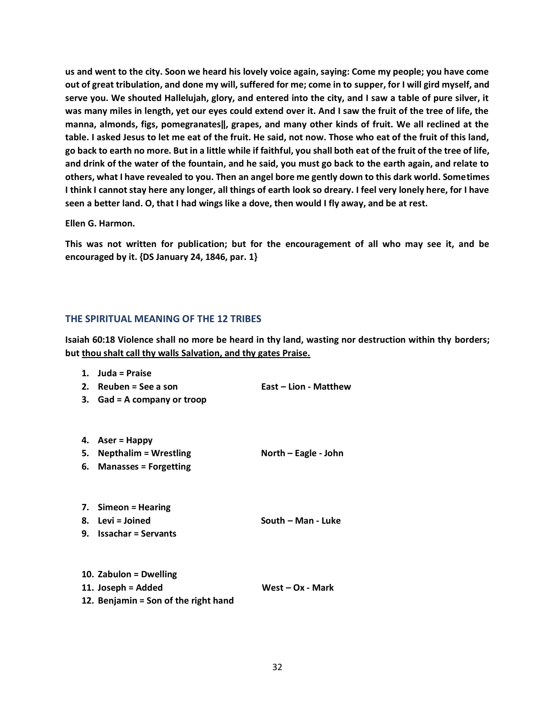**us and went to the city. Soon we heard his lovely voice again, saying: Come my people; you have come out of great tribulation, and done my will, suffered for me; come in to supper, for I will gird myself, and serve you. We shouted Hallelujah, glory, and entered into the city, and I saw a table of pure silver, it was many miles in length, yet our eyes could extend over it. And I saw the fruit of the tree of life, the manna, almonds, figs, pomegranates‖, grapes, and many other kinds of fruit. We all reclined at the table. I asked Jesus to let me eat of the fruit. He said, not now. Those who eat of the fruit of this land, go back to earth no more. But in a little while if faithful, you shall both eat of the fruit of the tree of life, and drink of the water of the fountain, and he said, you must go back to the earth again, and relate to others, what I have revealed to you. Then an angel bore me gently down to this dark world. Sometimes I think I cannot stay here any longer, all things of earth look so dreary. I feel very lonely here, for I have seen a better land. O, that I had wings like a dove, then would I fly away, and be at rest.**

#### **Ellen G. Harmon.**

**This was not written for publication; but for the encouragement of all who may see it, and be encouraged by it. {DS January 24, 1846, par. 1}**

# **THE SPIRITUAL MEANING OF THE 12 TRIBES**

**Isaiah 60:18 Violence shall no more be heard in thy land, wasting nor destruction within thy borders; but thou shalt call thy walls Salvation, and thy gates Praise.**

| 1.                                       | Juda = Praise                       |                       |
|------------------------------------------|-------------------------------------|-----------------------|
| 2.                                       | Reuben = See a son                  | East – Lion - Matthew |
| 3.                                       | $\textsf{Gad}$ = A company or troop |                       |
|                                          |                                     |                       |
| 4.                                       | Aser = Happy                        |                       |
| 5.                                       | <b>Nepthalim = Wrestling</b>        | North – Eagle - John  |
| 6.                                       | <b>Manasses = Forgetting</b>        |                       |
|                                          |                                     |                       |
|                                          | 7. Simeon = Hearing                 |                       |
|                                          | 8. Levi = Joined                    | South - Man - Luke    |
|                                          | 9. Issachar = Servants              |                       |
|                                          |                                     |                       |
| 10. Zabulon = Dwelling                   |                                     |                       |
| $West - Ox - Mark$<br>11. Joseph = Added |                                     |                       |
| 12. Benjamin = Son of the right hand     |                                     |                       |
|                                          |                                     |                       |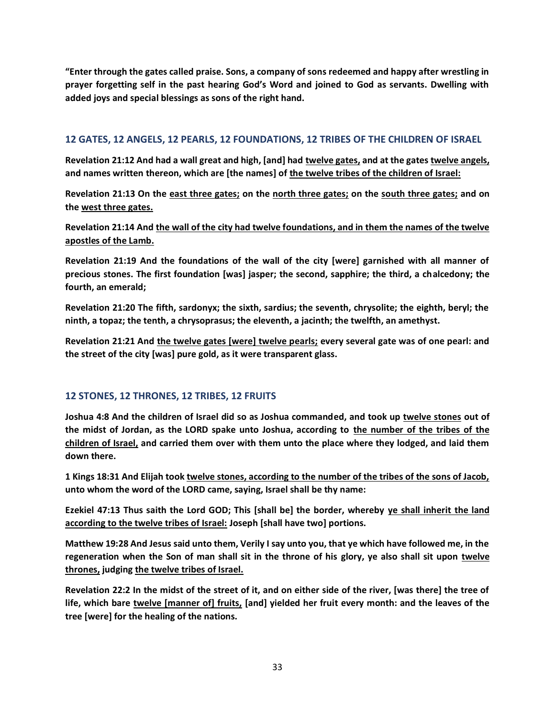**"Enter through the gates called praise. Sons, a company of sons redeemed and happy after wrestling in prayer forgetting self in the past hearing God's Word and joined to God as servants. Dwelling with added joys and special blessings as sons of the right hand.**

# **12 GATES, 12 ANGELS, 12 PEARLS, 12 FOUNDATIONS, 12 TRIBES OF THE CHILDREN OF ISRAEL**

**Revelation 21:12 And had a wall great and high, [and] had twelve gates, and at the gates twelve angels, and names written thereon, which are [the names] of the twelve tribes of the children of Israel:**

**Revelation 21:13 On the east three gates; on the north three gates; on the south three gates; and on the west three gates.**

**Revelation 21:14 And the wall of the city had twelve foundations, and in them the names of the twelve apostles of the Lamb.**

**Revelation 21:19 And the foundations of the wall of the city [were] garnished with all manner of precious stones. The first foundation [was] jasper; the second, sapphire; the third, a chalcedony; the fourth, an emerald;**

**Revelation 21:20 The fifth, sardonyx; the sixth, sardius; the seventh, chrysolite; the eighth, beryl; the ninth, a topaz; the tenth, a chrysoprasus; the eleventh, a jacinth; the twelfth, an amethyst.**

**Revelation 21:21 And the twelve gates [were] twelve pearls; every several gate was of one pearl: and the street of the city [was] pure gold, as it were transparent glass.**

# **12 STONES, 12 THRONES, 12 TRIBES, 12 FRUITS**

**Joshua 4:8 And the children of Israel did so as Joshua commanded, and took up twelve stones out of the midst of Jordan, as the LORD spake unto Joshua, according to the number of the tribes of the children of Israel, and carried them over with them unto the place where they lodged, and laid them down there.**

**1 Kings 18:31 And Elijah took twelve stones, according to the number of the tribes of the sons of Jacob, unto whom the word of the LORD came, saying, Israel shall be thy name:**

**Ezekiel 47:13 Thus saith the Lord GOD; This [shall be] the border, whereby ye shall inherit the land according to the twelve tribes of Israel: Joseph [shall have two] portions.**

**Matthew 19:28 And Jesus said unto them, Verily I say unto you, that ye which have followed me, in the regeneration when the Son of man shall sit in the throne of his glory, ye also shall sit upon twelve thrones, judging the twelve tribes of Israel.**

**Revelation 22:2 In the midst of the street of it, and on either side of the river, [was there] the tree of life, which bare twelve [manner of] fruits, [and] yielded her fruit every month: and the leaves of the tree [were] for the healing of the nations.**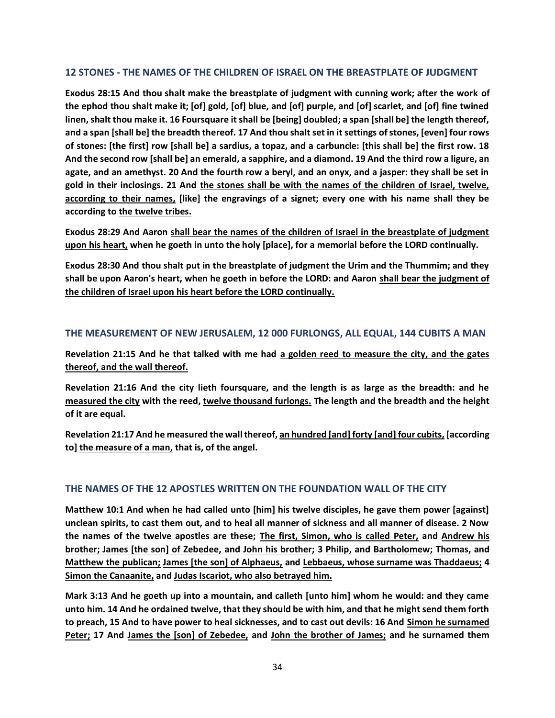# **12 STONES - THE NAMES OF THE CHILDREN OF ISRAEL ON THE BREASTPLATE OF JUDGMENT**

**Exodus 28:15 And thou shalt make the breastplate of judgment with cunning work; after the work of the ephod thou shalt make it; [of] gold, [of] blue, and [of] purple, and [of] scarlet, and [of] fine twined linen, shalt thou make it. 16 Foursquare it shall be [being] doubled; a span [shall be] the length thereof, and a span [shall be] the breadth thereof. 17 And thou shalt set in it settings of stones, [even] four rows of stones: [the first] row [shall be] a sardius, a topaz, and a carbuncle: [this shall be] the first row. 18 And the second row [shall be] an emerald, a sapphire, and a diamond. 19 And the third row a ligure, an agate, and an amethyst. 20 And the fourth row a beryl, and an onyx, and a jasper: they shall be set in gold in their inclosings. 21 And the stones shall be with the names of the children of Israel, twelve, according to their names, [like] the engravings of a signet; every one with his name shall they be according to the twelve tribes.**

**Exodus 28:29 And Aaron shall bear the names of the children of Israel in the breastplate of judgment upon his heart, when he goeth in unto the holy [place], for a memorial before the LORD continually.**

**Exodus 28:30 And thou shalt put in the breastplate of judgment the Urim and the Thummim; and they shall be upon Aaron's heart, when he goeth in before the LORD: and Aaron shall bear the judgment of the children of Israel upon his heart before the LORD continually.**

# **THE MEASUREMENT OF NEW JERUSALEM, 12 000 FURLONGS, ALL EQUAL, 144 CUBITS A MAN**

**Revelation 21:15 And he that talked with me had a golden reed to measure the city, and the gates thereof, and the wall thereof.**

**Revelation 21:16 And the city lieth foursquare, and the length is as large as the breadth: and he measured the city with the reed, twelve thousand furlongs. The length and the breadth and the height of it are equal.**

**Revelation 21:17 And he measured the wall thereof, an hundred [and] forty [and] four cubits, [according to] the measure of a man, that is, of the angel.**

# **THE NAMES OF THE 12 APOSTLES WRITTEN ON THE FOUNDATION WALL OF THE CITY**

**Matthew 10:1 And when he had called unto [him] his twelve disciples, he gave them power [against] unclean spirits, to cast them out, and to heal all manner of sickness and all manner of disease. 2 Now the names of the twelve apostles are these; The first, Simon, who is called Peter, and Andrew his brother; James [the son] of Zebedee, and John his brother; 3 Philip, and Bartholomew; Thomas, and Matthew the publican; James [the son] of Alphaeus, and Lebbaeus, whose surname was Thaddaeus; 4 Simon the Canaanite, and Judas Iscariot, who also betrayed him.**

**Mark 3:13 And he goeth up into a mountain, and calleth [unto him] whom he would: and they came unto him. 14 And he ordained twelve, that they should be with him, and that he might send them forth to preach, 15 And to have power to heal sicknesses, and to cast out devils: 16 And Simon he surnamed Peter; 17 And James the [son] of Zebedee, and John the brother of James; and he surnamed them**